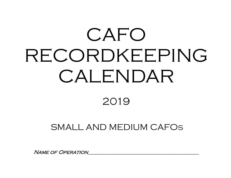# CAFO RECORDKEEPING CALENDAR

## 2019

## SMALL AND MEDIUM CAFOS

NAME OF OPERATION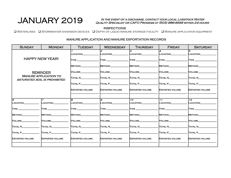## $JANUARY 2019$  IN THE EVENT OF A<br>INSPECTIONS

#### In the event of a discharge, contact your local Livestock Water Quality Specialist or CAFO Program at (503) 986-4699 within 24 hours

q Waterlines q Stormwater diversion devices q Depth of liquid manure storage facility q Manure application equipment

| <b>SUNDAY</b>          | <b>MONDAY</b>                                                 | <b>TUESDAY</b>         | <b>WEDNESDAY</b>       | <b>THURSDAY</b>                | <b>FRIDAY</b>          | <b>SATURDAY</b>             |
|------------------------|---------------------------------------------------------------|------------------------|------------------------|--------------------------------|------------------------|-----------------------------|
|                        |                                                               | LOCATION               | 2<br>LOCATION          | R<br>LOCATION                  | 4<br>LOCATION          | l5<br>LOCATION              |
|                        | <b>HAPPY NEW YEAR!</b>                                        | <b>TYPE</b>            | <b>TYPE</b>            | $\mathsf{TVPE} \_\_\_\_\_\_\_$ | <b>TYPE</b>            |                             |
|                        |                                                               | METHOD_                | METHOD                 | METHOD                         | METHOD                 | METHOD                      |
|                        | <b>REMINDER</b>                                               | VOLUME                 | VOLUME                 | VOLUME                         | VOLUME                 | <b>VOLUME</b>               |
|                        | <b>MANURE APPLICATION TO</b><br>SATURATED SOIL IS PROHIBITED. | TOTAL N                | TOTAL N                | TOTAL N                        | TOTAL N                | TOTAL N                     |
|                        |                                                               | TOTAL P__              | TOTAL P                | TOTAL P                        | TOTAL P_               | TOTAL P                     |
|                        |                                                               | <b>EXPORTED VOLUME</b> | <b>EXPORTED VOLUME</b> | <b>EXPORTED VOLUME</b>         | <b>EXPORTED VOLUME</b> | <b>EXPORTED VOLUME</b>      |
|                        |                                                               |                        |                        |                                |                        |                             |
| l6<br><b>LOCATION</b>  | $\overline{z}$<br>LOCATION                                    | R<br>LOCATION          | 9<br>LOCATION          | $10^{-7}$<br>LOCATION          | 11<br><b>LOCATION</b>  | 12 <sup>°</sup><br>LOCATION |
|                        |                                                               |                        |                        |                                |                        |                             |
| <b>TYPE</b>            | <b>TYPE</b>                                                   |                        | <b>TYPE</b>            | <b>TYPE</b>                    |                        | <b>TYPE</b>                 |
| METHOD                 | METHOD                                                        | METHOD                 | METHOD                 | METHOD                         | METHOD                 | METHOD                      |
| <b>VOLUME</b>          | <b>VOLUME</b>                                                 | <b>VOLUME</b>          | VOLUME                 | <b>VOLUME</b>                  | <b>VOLUME</b>          | <b>VOLUME</b>               |
| TOTAL N                | TOTAL N                                                       | TOTAL N                | TOTAL N                | Total N                        | <b>TOTAL N</b>         | TOTAL N                     |
| TOTAL P                | TOTAL P                                                       | TOTAL P                | TOTAL P                | TOTAL P                        | TOTAL P                | TOTAL P                     |
| <b>EXPORTED VOLUME</b> | <b>EXPORTED VOLUME</b>                                        | <b>EXPORTED VOLUME</b> | <b>EXPORTED VOLUME</b> | <b>EXPORTED VOLUME</b>         | <b>EXPORTED VOLUME</b> | <b>EXPORTED VOLUME</b>      |
|                        |                                                               |                        |                        |                                |                        |                             |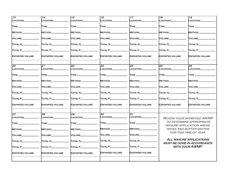| $\overline{13}$              | 14                     | $\overline{15}$                | 16                     | $\overline{17}$        | $\overline{18}$              | $\overline{19}$                                                    |
|------------------------------|------------------------|--------------------------------|------------------------|------------------------|------------------------------|--------------------------------------------------------------------|
| <b>LOCATION</b>              | LOCATION               | <b>LOCATION</b>                | <b>LOCATION</b>        | LOCATION               | LOCATION                     | LOCATION                                                           |
| TYPE_                        | TYPE_                  | $\textsf{T} \textsf{YPE} \_$   | TYPE_                  | TYPE_                  | $\mathsf{T} \mathsf{YPE} \_$ | TYPE                                                               |
| <b>METHOD</b>                | <b>METHOD</b>          | <b>METHOD</b>                  | <b>METHOD</b>          | <b>METHOD</b>          | <b>METHOD</b>                | <b>METHOD</b>                                                      |
| <b>VOLUME</b>                | <b>VOLUME</b>          | <b>VOLUME</b>                  | <b>VOLUME</b>          | <b>VOLUME</b>          | <b>VOLUME</b>                | <b>VOLUME</b>                                                      |
| TOTAL N_                     | Total N                | <b>TOTAL N</b>                 | Total N                | Total N                | Total N                      | TOTAL N                                                            |
| Total P_                     | Total P                | Total P                        | TOTAL P                | TOTAL P                | TOTAL P                      | TOTAL P                                                            |
| <b>EXPORTED VOLUME</b>       | <b>EXPORTED VOLUME</b> | <b>EXPORTED VOLUME</b>         | <b>EXPORTED VOLUME</b> | <b>EXPORTED VOLUME</b> | <b>EXPORTED VOLUME</b>       | <b>EXPORTED VOLUME</b>                                             |
| $\overline{20}$              | $\overline{21}$        | 22                             | 23                     | 24                     | $\overline{25}$              | $\overline{26}$                                                    |
| LOCATION                     | LOCATION               | LOCATION                       | LOCATION_              | LOCATION_              | LOCATION                     | LOCATION                                                           |
| $\textsf{T} \textsf{YPE} \_$ | TYPE.                  | <b>TYPE</b>                    | <b>TYPE</b>            | TYPE.                  | TYPE.                        | <b>TYPE</b>                                                        |
| <b>METHOD</b>                | <b>METHOD</b>          | <b>METHOD</b>                  | <b>METHOD</b>          | Method                 | <b>METHOD</b>                | <b>METHOD</b>                                                      |
| VOLUME                       | <b>VOLUME</b>          | <b>VOLUME</b>                  | VOLUME                 | <b>VOLUME</b>          | <b>VOLUME</b>                | <b>VOLUME</b>                                                      |
| Total N_                     | Total N_               | TOTAL N                        | Total N_               | Total N_               | Total N_                     | TOTAL N                                                            |
| TOTAL P_                     | TOTAL P                | TOTAL P                        | TOTAL P                | TOTAL P                | Total P_                     | <b>TOTAL P</b>                                                     |
| <b>EXPORTED VOLUME</b>       | EXPORTED VOLUME        | <b>EXPORTED VOLUME</b>         | <b>EXPORTED VOLUME</b> | EXPORTED VOLUME        | <b>EXPORTED VOLUME</b>       | <b>EXPORTED VOLUME</b>                                             |
| $\overline{27}$              | 28                     | 29                             | $\overline{30}$        | $\overline{31}$        |                              |                                                                    |
| LOCATION                     | <b>LOCATION</b>        | <b>LOCATION</b>                | LOCATION_              | LOCATION_              |                              | <i>REVIEW YOUR APPROVED AWMP</i>                                   |
| TYPE_                        | TYPE.                  | $\mathsf{T} \mathsf{YPE}$ $\_$ | $\sf{Type\_}$          | TYPE.                  |                              | <i>TO DETERMINE APPROPRIATE</i>                                    |
| <b>METHOD</b>                | <b>METHOD</b>          | <b>METHOD</b>                  | <b>METHOD</b>          | Method                 |                              | <b>MANURE APPLICATION AREAS.</b><br><b>RATES AND BUFFER WIDTHS</b> |
| VOLUME                       | VOLUME                 | VOLUME                         | VOLUME                 | <b>VOLUME</b>          |                              | FOR THIS TIME OF YEAR.                                             |
| TOTAL N                      | TOTAL N_               | Total N_                       | Total N_               | Total N_               |                              | ALL MANURE APPLICATIONS                                            |
| TOTAL P                      | TOTAL P                | TOTAL P                        | TOTAL P_               | TOTAL P_               |                              | <b>MUST BE DONE IN ACCORDANCE</b><br><b>WITH YOUR AWMP.</b>        |
| <b>EXPORTED VOLUME</b>       | <b>EXPORTED VOLUME</b> | <b>EXPORTED VOLUME</b>         | <b>EXPORTED VOLUME</b> | EXPORTED VOLUME        |                              |                                                                    |
|                              |                        |                                |                        |                        |                              |                                                                    |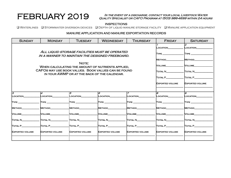#### FEBRUARY 2019 IN THE EVENT OF A DISCHARGE, CONTACT YOUR LOCAL LIVESTOCK WATER Quality Specialist or CAFO Program at (503) 986-4699 within 24 hours

#### INSPECTIONS

q Waterlines q Stormwater diversion devices q Depth of liquid manure storage facility q Manure application equipment

| <b>SUNDAY</b>          | <b>MONDAY</b>                                                                                        | <b>TUESDAY</b>         | <b>WEDNESDAY</b>       | <b>THURSDAY</b> | <b>FRIDAY</b>   | <b>SATURDAY</b>        |
|------------------------|------------------------------------------------------------------------------------------------------|------------------------|------------------------|-----------------|-----------------|------------------------|
|                        |                                                                                                      |                        |                        |                 | <b>LOCATION</b> | 2<br>LOCATION          |
|                        | ALL LIQUID STORAGE FACILITIES MUST BE OPERATED<br>IN A MANNER TO MAINTAIN THE DESIGNED FREEBOARD.    | <b>TYPE</b>            | <b>TYPE</b>            |                 |                 |                        |
|                        |                                                                                                      | <b>METHOD</b>          | <b>METHOD</b>          |                 |                 |                        |
|                        | WHEN CALCULATING THE AMOUNT OF NUTRIENTS APPLIED.                                                    | <b>NOLUME</b>          | VOLUME                 |                 |                 |                        |
|                        | CAFOS MAY USE BOOK VALUES. BOOK VALUES CAN BE FOUND<br>IN YOUR AWMP OR AT THE BACK OF THE CALENDAR.  |                        | <b>TOTAL N</b>         | <b>TOTAL N</b>  |                 |                        |
|                        |                                                                                                      |                        | TOTAL P                | <b>TOTAL P</b>  |                 |                        |
|                        |                                                                                                      | <b>EXPORTED VOLUME</b> | <b>EXPORTED VOLUME</b> |                 |                 |                        |
|                        |                                                                                                      |                        |                        |                 |                 |                        |
| IЗ<br>LOCATION         | 4<br>LOCATION                                                                                        | 5<br>LOCATION          | 6<br>LOCATION          | LOCATION        | l8<br>LOCATION  | <b>l</b> o<br>LOCATION |
| <b>TYPE</b>            | TYPE_                                                                                                | TYPE __                | $\Gamma$ YPE $\_\_$    | $T$ YPE $\_\$   | <b>TYPE</b>     | <b>TYPE</b>            |
| METHOD                 | METHOD                                                                                               | <b>METHOD</b>          | <b>METHOD</b>          | <b>METHOD</b>   | <b>METHOD</b>   | METHOD                 |
| <b>VOLUME</b>          | VOLUME                                                                                               | VOLUME                 | VOLUME                 | VOLUME          | <b>NOLUME</b>   | <b>VOLUME</b>          |
| TOTAL N                | TOTAL N                                                                                              | TOTAL N                | TOTAL N                | TOTAL N         | <b>TOTAL N</b>  | TOTAL N                |
| TOTAL P                | <b>TOTAL P</b>                                                                                       | TOTAL P                | TOTAL P                | TOTAL P         | <b>TOTAL P</b>  | TOTAL P                |
| <b>EXPORTED VOLUME</b> | <b>EXPORTED VOLUME</b><br><b>EXPORTED VOLUME</b><br><b>EXPORTED VOLUME</b><br><b>EXPORTED VOLUME</b> |                        |                        |                 |                 | <b>EXPORTED VOLUME</b> |
|                        |                                                                                                      |                        |                        |                 |                 |                        |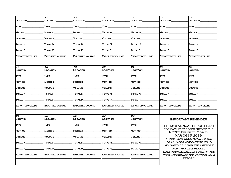| 10                                        | 11                        | 12 <sup>2</sup>          | $\overline{13}$          | 14                        | $\overline{15}$                          | $\overline{16}$                                                                       |  |
|-------------------------------------------|---------------------------|--------------------------|--------------------------|---------------------------|------------------------------------------|---------------------------------------------------------------------------------------|--|
| LOCATION                                  | LOCATION                  | LOCATION                 | LOCATION                 | LOCATION                  | LOCATION                                 | <b>LOCATION</b>                                                                       |  |
| $\mathsf{T} \mathsf{YPE} \_\_\_\_\_\$     | $\mathsf{T} \mathsf{YPE}$ | <b>TYPE</b>              | TYPE ______              | <b>TYPE</b>               | <b>TYPE</b>                              | TYPE ________                                                                         |  |
| <b>METHOD</b>                             | <b>METHOD</b>             | <b>METHOD</b>            | <b>METHOD</b>            | <b>METHOD</b>             | Method                                   | <b>METHOD</b>                                                                         |  |
| VOLUME                                    | VOLUME                    | <b>VOLUME</b>            | VOLUME                   | Volume                    | Volume_______                            | VOLUME                                                                                |  |
| TOTAL N                                   | Total N                   | TOTAL N                  | TOTAL N                  | TOTAL N                   | Total N                                  | TOTAL N                                                                               |  |
| TOTAL P________                           | TOTAL P________           | $\Gamma$ OTAL P $\Gamma$ | $\Gamma$ OTAL P $\Gamma$ | $T$ OTAL $P$              | $\boxed{\text{Total P} \quad \text{[} }$ | $T$ OTAL $P$                                                                          |  |
| <b>EXPORTED VOLUME</b>                    | EXPORTED VOLUME           | <b>EXPORTED VOLUME</b>   | <b>EXPORTED VOLUME</b>   | <b>EXPORTED VOLUME</b>    | <b>EXPORTED VOLUME</b>                   | <b>EXPORTED VOLUME</b>                                                                |  |
| 17                                        | 18                        | 19                       | 20                       | 21                        | 22                                       | 23                                                                                    |  |
| LOCATION                                  | LOCATION____              | $\_OCATiON$              | <b>LOCATION</b>          | LOCATION                  | LOCATION____                             | LOCATION                                                                              |  |
| $\mathsf{T} \mathsf{YPE} \_\_\_\_\_\_\_\$ |                           | <b>TYPE</b> __________   |                          | $\mathsf{T} \mathsf{YPE}$ | <b>TYPE</b> ___________                  | $\mathsf{T} \mathsf{YPE}$                                                             |  |
| METHOD                                    | METHOD                    | METHOD                   | METHOD_______            | Method                    | Method                                   | <b>METHOD</b>                                                                         |  |
| <b>VOLUME</b>                             | VOLUME                    | <b>VOLUME</b>            | VOLUME                   | <b>VOLUME</b>             | Volume__                                 | VOLUME                                                                                |  |
| TOTAL N                                   | Total N                   | Total N________          | $\Gamma$ otal N $\Gamma$ | TOTAL N                   | Total N_________                         | Total N                                                                               |  |
| $\overline{\text{Total P}}\_$             | TOTAL P                   | $T$ OTAL P $\_\_$        | TOTAL P                  | TOTAL P                   | TOTAL P                                  | TOTAL P                                                                               |  |
| <b>EXPORTED VOLUME</b>                    | EXPORTED VOLUME           | <b>EXPORTED VOLUME</b>   | <b>EXPORTED VOLUME</b>   | <b>EXPORTED VOLUME</b>    | <b>EXPORTED VOLUME</b>                   | <b>EXPORTED VOLUME</b>                                                                |  |
| 24                                        | 25                        | 26                       | 27                       | 28                        |                                          |                                                                                       |  |
| LOCATION                                  | LOCATION                  | LOCATION                 | LOCATION                 | LOCATION                  |                                          | <b>IMPORTANT REMINDER</b>                                                             |  |
| TYPE                                      | <b>TYPE</b>               | TYPE _________           |                          | TYPE ______               |                                          | THE 2018 ANNUAL REPORT IS DUE                                                         |  |
| METHOD_                                   | <b>METHOD</b>             | <b>METHOD</b>            | Method_                  | METHOD                    |                                          | FOR FACILITIES REGISTERED TO THE<br>NPDES PERMIT TO ODA BY                            |  |
| VOLUME                                    | Volume                    | VOLUME                   | VOLUME                   | VOLUME                    |                                          | MARCH 15, 2019.<br>IF YOU WERE REGISTERED TO THE                                      |  |
| TOTAL N                                   | Total N                   | TOTAL N                  | TOTAL N                  | TOTAL N                   |                                          | NPDES FOR ANY PART OF 2018                                                            |  |
| TOTAL P_                                  | TOTAL P                   | $T$ OTAL P $\_\_\_\_\_\$ | TOTAL P___               | TOTAL P                   |                                          | YOU NEED TO COMPLETE A REPORT<br>FOR THAT TIME PERIOD.                                |  |
| <b>EXPORTED VOLUME</b>                    | <b>EXPORTED VOLUME</b>    | <b>EXPORTED VOLUME</b>   | <b>EXPORTED VOLUME</b>   | <b>EXPORTED VOLUME</b>    |                                          | CALL YOUR LOCAL INSPECTOR IF YOU<br>NEED ASSISTANCE COMPLETING YOUR<br><b>REPORT.</b> |  |
|                                           |                           |                          |                          |                           |                                          |                                                                                       |  |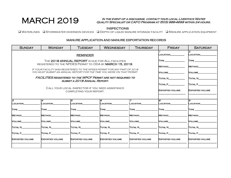### MARCH 2019 IN THE EVENT OF A DISCHARGE, CONTACT YOUR LOCAL LIVESTOCK WATER<br>QUALITY SPECIALIST OR CAFO PROGRAM AT (503) 986-4699 WITHIN 24 HOU Quality Specialist or CAFO Program at (503) 986-4699 within 24 hours.

### **INSPECTIONS**

q Waterlines q Stormwater diversion devices q Depth of liquid manure storage facility q Manure application equipment

| <b>SUNDAY</b>          | <b>MONDAY</b>                                                                                                                                      | <b>TUESDAY</b>               | <b>WEDNESDAY</b>       | <b>THURSDAY</b> | <b>FRIDAY</b>  | <b>SATURDAY</b> |
|------------------------|----------------------------------------------------------------------------------------------------------------------------------------------------|------------------------------|------------------------|-----------------|----------------|-----------------|
|                        |                                                                                                                                                    |                              | LOCATION               | 2<br>LOCATION   |                |                 |
|                        | THE 2018 ANNUAL REPORT IS DUE FOR ALL FACILITIES                                                                                                   | <b>TYPE</b>                  | <b>TYPE</b>            |                 |                |                 |
|                        | REGISTERED TO THE NPDES PERMIT TO ODA BY MARCH 15, 2019.                                                                                           | METHOD                       | METHOD                 |                 |                |                 |
|                        | IF YOUR FACILITY WAS REGISTERED TO THE NPDES PERMIT FOR ANY PART OF 2018<br>YOU MUST SUBMIT AN ANNUAL REPORT FOR THE TIME YOU WERE ON THAT PERMIT. | VOLUME                       | <b>NOLUME</b>          |                 |                |                 |
|                        | <b>FACILITIES REGISTERED TO THE WPCF PERMIT ARE NOT REQUIRED TO</b>                                                                                | Total N                      | TOTAL N                |                 |                |                 |
|                        |                                                                                                                                                    | SUBMIT A 2018 ANNUAL REPORT. |                        |                 | TOTAL P        | <b>TOTAL P</b>  |
|                        | CALL YOUR LOCAL INSPECTOR IF YOU NEED ASSISTANCE<br>COMPLETING YOUR REPORT.                                                                        | <b>EXPORTED VOLUME</b>       | <b>EXPORTED VOLUME</b> |                 |                |                 |
|                        |                                                                                                                                                    |                              |                        |                 |                | <b>g</b>        |
| з<br><b>LOCATION</b>   | 4<br><b>LOCATION</b>                                                                                                                               | l5<br><b>LOCATION</b>        | l6<br><b>LOCATION</b>  | LOCATION        | l8<br>LOCATION | <b>LOCATION</b> |
| <b>TYPE</b>            | <b>TYPE</b>                                                                                                                                        | <b>TYPE</b>                  | <b>TYPE</b>            | <b>TYPE</b>     | <b>TYPE</b>    | <b>TYPE</b>     |
| <b>METHOD</b>          | <b>METHOD</b>                                                                                                                                      | <b>METHOD</b>                | <b>METHOD</b>          | <b>METHOD</b>   | <b>METHOD</b>  | METHOD          |
| VOLUME                 | VOLUME                                                                                                                                             | VOLUME                       | <b>NOLUME</b>          | <b>VOLUME</b>   | VOLUME         | <b>VOLUME</b>   |
| <b>TOTAL N_</b>        | TOTAL N                                                                                                                                            | TOTAL N                      | TOTAL N                | Total N         | Total N        | <b>TOTAL N</b>  |
| TOTAL P                | TOTAL P                                                                                                                                            | TOTAL P                      | <b>TOTAL P</b>         | TOTAL P         | TOTAL P        | <b>TOTAL P</b>  |
| <b>EXPORTED VOLUME</b> | <b>EXPORTED VOLUME</b><br><b>EXPORTED VOLUME</b>                                                                                                   | <b>EXPORTED VOLUME</b>       | <b>EXPORTED VOLUME</b> |                 |                |                 |
|                        |                                                                                                                                                    |                              |                        |                 |                |                 |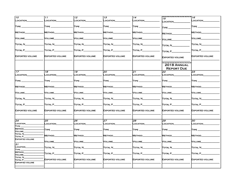| $\overline{10}$               | 11                           | 12 <sup>2</sup>                         | 13                     | 14                                      |                                           | 16                             |
|-------------------------------|------------------------------|-----------------------------------------|------------------------|-----------------------------------------|-------------------------------------------|--------------------------------|
|                               |                              |                                         |                        |                                         | 15                                        |                                |
| LOCATION                      | LOCATION                     | LOCATION_                               | LOCATION               | LOCATION_                               | LOCATION                                  | LOCATION                       |
|                               |                              |                                         |                        |                                         |                                           |                                |
| $\mathsf{T}\mathsf{YPE} \_\_$ | $\textsf{T} \textsf{YPE} \_$ | $\mathsf{T} \mathsf{YPE} \_\_\_\_\_\_\$ | TYPE_                  | TYPE _                                  | <b>TYPE</b>                               | TYPE_                          |
|                               |                              |                                         |                        |                                         |                                           |                                |
| METHOD_                       | METHOD                       | Method_                                 | <b>METHOD</b>          | Method                                  |                                           | METHOD_                        |
|                               |                              |                                         |                        |                                         | METHOD                                    |                                |
| Volume_                       | Volume                       | VOLUME_                                 | VOLUME_                | Volume                                  |                                           | Volume_                        |
|                               |                              |                                         |                        |                                         | <b>VOLUME</b>                             |                                |
|                               |                              |                                         |                        |                                         |                                           |                                |
| TOTAL N                       | TOTAL N_                     | TOTAL N_______                          | TOTAL N__________      | Total N_                                | TOTAL N                                   | <b>TOTAL N_</b>                |
|                               |                              |                                         |                        |                                         |                                           |                                |
| TOTAL P_                      | $T$ OTAL $P$                 | TOTAL P                                 | TOTAL P                | TOTAL P_                                | TOTAL P                                   | TOTAL P_                       |
|                               |                              |                                         |                        |                                         |                                           |                                |
| <b>EXPORTED VOLUME</b>        | <b>EXPORTED VOLUME</b>       | <b>EXPORTED VOLUME</b>                  | <b>EXPORTED VOLUME</b> | <b>EXPORTED VOLUME</b>                  |                                           | <b>EXPORTED VOLUME</b>         |
|                               |                              |                                         |                        |                                         | <b>EXPORTED VOLUME</b>                    |                                |
|                               |                              |                                         |                        |                                         |                                           |                                |
|                               |                              |                                         |                        |                                         | 2018 ANNUAL                               |                                |
|                               |                              |                                         |                        |                                         |                                           |                                |
|                               |                              |                                         |                        |                                         | <b>REPORT DUE</b>                         |                                |
| 17                            | 18                           | 19                                      | 20                     | 21                                      | 22                                        | 23                             |
| LOCATION_                     | _OCATION_                    | LOCATION_                               | LOCATION               | LOCATION_                               | _OCATION_                                 | LOCATION                       |
|                               |                              |                                         |                        |                                         |                                           |                                |
| $T$ YPE $\_\_\_\_\_\$         | $\mathsf{T} \mathsf{YPE}$    | $\mathsf{T} \mathsf{YPE} \_\_\_\_\_\_\$ |                        | $\mathsf{T} \mathsf{YPE} \_\_\_\_\_\_\$ | $\mathsf{T} \mathsf{YPE} \_\_\_\_\_\_\_\$ | $\mathsf{T} \mathsf{YPE} \_\_$ |
|                               |                              |                                         |                        |                                         |                                           |                                |
|                               |                              |                                         |                        |                                         |                                           |                                |
| METHOD_                       | <b>METHOD</b>                | METHOD                                  | METHOD                 | Method_                                 | <b>METHOD</b>                             | METHOD                         |
|                               |                              |                                         |                        |                                         |                                           |                                |
| VOLUME_                       | Volume_                      | VOLUME                                  | VOLUME                 | Volume_                                 | <b>VOLUME</b>                             | <b>VOLUME</b>                  |
|                               |                              |                                         |                        |                                         |                                           |                                |
| TOTAL N_                      | TOTAL N                      | Total N                                 | TOTAL N                | Total N                                 | TOTAL N                                   | <b>TOTAL N_</b>                |
|                               |                              |                                         |                        |                                         |                                           |                                |
| TOTAL P_                      | $\hbox{Total P}_-$           | TOTAL P___                              | TOTAL P                | <b>TOTAL P</b>                          | TOTAL P_                                  | TOTAL P_                       |
|                               |                              |                                         |                        |                                         |                                           |                                |
|                               |                              |                                         |                        |                                         |                                           |                                |
| <b>EXPORTED VOLUME</b>        | <b>EXPORTED VOLUME</b>       | <b>EXPORTED VOLUME</b>                  | <b>EXPORTED VOLUME</b> | <b>EXPORTED VOLUME</b>                  | <b>EXPORTED VOLUME</b>                    | <b>EXPORTED VOLUME</b>         |
|                               |                              |                                         |                        |                                         |                                           |                                |
|                               |                              |                                         |                        |                                         |                                           |                                |
| 24                            | 25                           | 26                                      | 27                     | 28                                      | 29                                        | 30                             |
|                               |                              |                                         |                        |                                         |                                           |                                |
| <b>LOCATION</b>               | LOCATION_                    | LOCATION_                               | _OCATION_              | LOCATION_                               | _OCATION_                                 | LOCATION                       |
| TYPE_<br>METHOD               |                              |                                         |                        |                                         |                                           |                                |
| VOLUME                        | $T$ YPE $\_\_\_\_\_\$        | $\mathsf{T} \mathsf{YPE}$               | TYPE ________          | TYPE                                    | TYPE _____                                | TYPE_                          |
| TOTAL N                       |                              |                                         |                        |                                         |                                           |                                |
| TOTAL P_                      | METHOD_                      | Method_                                 | Method_                | Method_                                 | METHOD_                                   | METHOD_                        |
| <b>EXPORTED VOLUME</b>        |                              |                                         |                        |                                         |                                           |                                |
|                               | Volume                       | Volume_                                 | Volume_                | Volume_                                 | VOLUME                                    | Volume_                        |
| 31                            |                              |                                         |                        |                                         |                                           |                                |
|                               |                              |                                         |                        |                                         |                                           |                                |
| LOCATION_<br>TYPE_            | <b>TOTAL N_</b>              | TOTAL N                                 | TOTAL N                | TOTAL N                                 | TOTAL N                                   | TOTAL N                        |
| <b>METHOD</b>                 |                              |                                         |                        |                                         |                                           |                                |
| VOLUME_                       | TOTAL P_                     | TOTAL P_                                | TOTAL P_____           | TOTAL P_                                | TOTAL P                                   | TOTAL P_                       |
| <b>TOTAL N_</b>               |                              |                                         |                        |                                         |                                           |                                |
| TOTAL P_                      | <b>EXPORTED VOLUME</b>       | <b>EXPORTED VOLUME</b>                  | <b>EXPORTED VOLUME</b> | <b>EXPORTED VOLUME</b>                  | <b>EXPORTED VOLUME</b>                    | <b>EXPORTED VOLUME</b>         |
| <b>EXPORTED VOLUME</b>        |                              |                                         |                        |                                         |                                           |                                |
|                               |                              |                                         |                        |                                         |                                           |                                |
|                               |                              |                                         |                        |                                         |                                           |                                |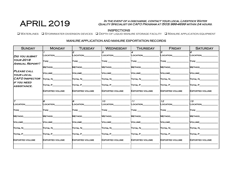## IN THE EVENT OF A DISCHARGE, CONTACT YOUR LOCAL LIVESTOCK WATER<br>QUALITY SPECIALIST OR CAFO PROGRAM AT (503) 986-4699 WITHIN 24 HOL Quality Specialist or CAFO Program at (503) 986-4699 within 24 hours.

#### INSPECTIONS

q Waterlines q Stormwater diversion devices q Depth of liquid manure storage facility q Manure application equipment

#### Sunday | Monday | Tuesday | Wednesday | Thursday | Friday | Saturday **DID YOU SUBMIT your 2018 Annual Report? Please call your local CAFO Inspector if you need assistance.** 1 Location\_\_\_\_\_\_\_\_\_\_\_\_\_\_  $Type \_\_$ Method\_\_\_\_\_\_\_\_\_\_\_\_\_\_\_\_ Volume\_\_\_\_\_\_\_\_\_\_\_\_\_\_\_\_ TOTAL N  $\blacksquare$   $\blacksquare$   $\blacksquare$ Exported volume \_\_\_\_\_\_\_\_\_\_\_\_\_\_\_\_\_\_\_\_\_\_\_\_ 2 LOCATION  $\overline{\phantom{a}}$ Type  $\Box$  $\overline{\phantom{a}}$ Method\_\_\_\_\_\_\_\_\_\_\_\_\_\_\_\_  $\overline{\phantom{a}}$ Volume\_\_\_\_\_\_\_\_\_\_\_\_\_\_\_\_  $\overline{\phantom{a}}$ Total N\_\_\_\_\_\_\_\_\_\_\_\_\_\_\_\_  $\overline{\phantom{a}}$  $\Gamma$ otal P\_\_\_\_\_\_\_  $\overline{\phantom{a}}$ Exported volume \_\_\_\_\_\_\_\_\_\_\_\_\_\_\_\_\_\_\_\_\_\_\_\_ !३ Location Type \_\_\_\_\_\_\_\_\_\_\_\_\_\_\_\_\_\_\_ Method\_\_\_\_\_\_\_\_\_\_\_\_\_\_\_\_ Volume\_\_\_\_\_\_\_\_\_\_\_\_\_\_\_\_  $T$ otal N $\_\_$  $T$ otal P $\rule{1em}{0.15mm}$ Exported volume \_\_\_\_\_\_\_\_\_\_\_\_\_\_\_\_\_\_\_\_\_\_\_\_ 4 Location\_\_\_\_\_\_\_\_\_\_\_\_\_\_  $\overline{\phantom{a}}$ Type \_\_\_\_\_\_\_\_\_\_\_\_\_\_\_\_\_\_\_  $\overline{\phantom{a}}$ Method\_\_\_\_\_\_\_\_\_\_\_\_\_\_\_\_  $\overline{\phantom{a}}$ Volume\_\_\_\_\_\_\_\_\_\_\_\_\_\_\_\_  $\overline{\phantom{a}}$ TOTAL N  $\overline{\phantom{a}}$ TOTAL P  $\overline{\phantom{a}}$ Exported volume \_\_\_\_\_\_\_\_\_\_\_\_\_\_\_\_\_\_\_\_\_\_\_\_ 5 Location\_\_\_\_\_\_\_\_\_\_\_\_\_\_  $\overline{\phantom{a}}$  $Type \_\_$  $\overline{\phantom{a}}$ Method\_\_\_\_\_\_\_\_\_\_\_\_\_\_\_\_  $\overline{\phantom{a}}$ Volume\_\_\_\_\_\_\_\_\_\_\_\_\_\_\_\_  $\overline{\phantom{a}}$  $T$ OTAL  $N$  $\overline{\phantom{a}}$ Total P\_\_\_\_\_\_\_\_\_\_\_\_\_\_\_\_  $\overline{\phantom{a}}$ Exported volume \_\_\_\_\_\_\_\_\_\_\_\_\_\_\_\_\_\_\_\_\_\_\_\_ 6 Location\_\_\_\_\_\_\_\_\_\_\_\_\_\_  $Type \_\_$ Method\_\_\_\_\_\_\_\_\_\_\_\_\_\_\_\_ Volume\_\_\_\_\_\_\_\_\_\_\_\_\_\_\_\_  $\overline{\text{Total N}}$ Total P\_\_\_\_\_\_\_\_\_\_\_\_\_\_\_\_ Exported volume \_\_\_\_\_\_\_\_\_\_\_\_\_\_\_\_\_\_\_\_\_\_\_\_ 7 Location\_\_\_\_\_\_\_\_\_\_\_\_\_\_  $\overline{\phantom{a}}$ Type \_\_\_\_\_\_\_\_\_\_\_\_\_\_\_\_\_\_\_  $\overline{\phantom{a}}$ Method\_\_\_\_\_\_\_\_\_\_\_\_\_\_\_\_  $\overline{\phantom{a}}$ Volume\_\_\_\_\_\_\_\_\_\_\_\_\_\_\_\_  $\overline{\phantom{a}}$ **TOTAL N\_\_\_\_\_\_\_\_\_**  $\overline{\phantom{a}}$ Total P\_\_\_\_\_\_\_\_\_\_\_\_\_\_\_\_  $\overline{\phantom{a}}$ Exported volume \_\_\_\_\_\_\_\_\_\_\_\_\_\_\_\_\_\_\_\_\_\_\_\_  $\overline{\mathcal{B}}$ Location\_\_\_\_\_\_\_\_\_\_\_\_\_\_ Type \_\_\_\_\_\_\_\_\_\_\_\_\_\_\_\_\_\_\_ Method\_\_\_\_\_\_\_\_\_\_\_\_\_\_\_\_ Volume\_\_\_\_\_\_\_\_\_\_\_\_\_\_\_\_ Total N\_\_\_\_\_\_\_\_\_\_\_\_\_\_\_\_ Total P\_\_\_\_\_\_\_\_\_\_\_\_\_\_\_\_ Exported volume \_\_\_\_\_\_\_\_\_\_\_\_\_\_\_\_\_\_\_\_\_\_\_\_ 9 Location\_\_\_\_\_\_\_\_\_\_\_\_\_\_  $\overline{\phantom{a}}$ Type \_\_\_\_\_\_\_\_\_\_\_\_\_\_\_\_\_\_\_  $\overline{\phantom{a}}$ **Method**  $\overline{\phantom{a}}$ Volume\_\_\_\_\_\_\_\_\_\_\_\_\_\_\_\_  $\overline{\phantom{a}}$ Total N\_\_\_\_\_\_\_\_\_\_\_\_\_\_\_\_  $\overline{\phantom{a}}$ Total P\_\_\_\_\_\_\_\_\_\_\_\_\_\_\_\_  $\overline{\phantom{a}}$ Exported volume \_\_\_\_\_\_\_\_\_\_\_\_\_\_\_\_\_\_\_\_\_\_\_\_  $10^{-7}$ Location\_\_\_\_\_\_\_\_\_\_\_\_\_\_ Type \_\_\_\_\_\_\_\_\_\_\_\_\_\_\_\_\_\_\_ **Method** Volume\_\_\_\_\_\_\_\_\_\_\_\_\_\_\_\_ Total N\_\_\_\_\_\_\_\_\_\_\_\_\_\_\_\_ Total P\_\_\_\_\_\_\_\_\_\_\_\_\_\_\_\_ Exported volume \_\_\_\_\_\_\_\_\_\_\_\_\_\_\_\_\_\_\_\_\_\_\_\_ 11 Location\_\_\_\_\_\_\_\_\_\_\_\_\_\_  $\overline{\phantom{a}}$ Type \_\_\_\_\_\_\_\_\_\_\_\_\_\_\_\_\_\_\_  $\overline{\phantom{a}}$ Method\_\_\_\_\_\_\_\_\_\_\_\_\_\_\_\_  $\overline{\phantom{a}}$ Volume\_\_\_\_\_\_\_\_\_\_\_\_\_\_\_\_  $\overline{\phantom{a}}$ Total N\_\_\_\_\_\_\_\_\_\_\_\_\_\_\_  $\overline{\phantom{a}}$ Total P\_\_\_\_\_\_\_\_\_\_\_\_\_\_\_\_  $\overline{\phantom{a}}$ Exported volume \_\_\_\_\_\_\_\_\_\_\_\_\_\_\_\_\_\_\_\_\_\_\_\_ 12 Location\_\_\_\_\_\_\_\_\_\_\_\_\_\_  $\overline{\phantom{a}}$ Type \_\_\_\_\_\_\_\_\_\_\_\_\_\_\_\_\_\_\_  $\overline{\phantom{a}}$ Method\_\_\_\_\_\_\_\_\_\_\_\_\_\_\_\_  $\overline{\phantom{a}}$ Volume\_\_\_\_\_\_\_\_\_\_\_\_\_\_\_\_  $\overline{\phantom{a}}$ Total N\_\_\_\_\_\_\_\_\_\_\_\_\_\_\_\_  $\overline{\phantom{a}}$  $\Gamma$ otal P $\Gamma$  $\overline{\phantom{a}}$ Exported volume \_\_\_\_\_\_\_\_\_\_\_\_\_\_\_\_\_\_\_\_\_\_\_\_ 13  $\_$ OCATION  $\mathsf{T} \mathsf{YPE} \_\_$ Method\_\_\_\_\_\_\_\_\_\_\_\_\_\_\_\_ Volume\_\_\_\_\_\_\_\_\_\_\_\_\_\_\_\_ Total N\_\_\_\_\_\_\_\_\_\_\_\_\_\_\_\_ Total P\_\_\_\_\_\_\_\_\_\_\_\_\_\_\_\_ Exported volume \_\_\_\_\_\_\_\_\_\_\_\_\_\_\_\_\_\_\_\_\_\_\_\_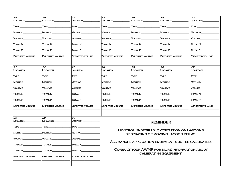| 14                            | 15                     | 16                          | 17                     | 18                                                                               | 19                     | 20                     |
|-------------------------------|------------------------|-----------------------------|------------------------|----------------------------------------------------------------------------------|------------------------|------------------------|
| LOCATION                      | _OCATION_              | <b>OCATION</b>              | <b>_OCATION</b>        | <b>OCATION</b>                                                                   | LOCATION               | <b>_OCATION</b>        |
| $\textsf{T} \textsf{YPE} \_$  | <b>TYPE</b>            | TYPE                        | <b>TYPE</b>            | TYPE                                                                             | <b>TYPE</b>            | TYPE,                  |
| METHOD                        | <b>METHOD</b>          | Method.                     | <b>METHOD</b>          | <b>METHOD</b>                                                                    | METHOD                 | <b>METHOD</b>          |
| VOLUME                        | VOLUME                 | VOLUME                      | VOLUME                 | VOLUME                                                                           | VOLUME                 | <b>VOLUME</b>          |
| TOTAL N                       | TOTAL N_               | Total N_                    | <b>TOTAL N_</b>        | TOTAL N_                                                                         | TOTAL N                | <b>TOTAL N</b>         |
| TOTAL P                       | TOTAL P                | Total P_                    | TOTAL P                | TOTAL P                                                                          | TOTAL P                | TOTAL P                |
| <b>EXPORTED VOLUME</b>        | <b>EXPORTED VOLUME</b> | <b>EXPORTED VOLUME</b>      | <b>EXPORTED VOLUME</b> | <b>EXPORTED VOLUME</b>                                                           | <b>EXPORTED VOLUME</b> | <b>EXPORTED VOLUME</b> |
| $\overline{21}$               | 22                     | 23                          | 24                     | 25                                                                               | 26                     | 27                     |
| LOCATION                      | LOCATION               | _OCATION_                   | _OCATION_              | LOCATION                                                                         | LOCATION               | LOCATION_              |
| $\mathsf{T}\mathsf{YPE} \_\_$ | TYPE.                  | TYPE.                       | TYPE_                  | $\mathsf{T}\mathsf{YPE}$ $\_$                                                    | TYPE,                  | TYPE_                  |
| METHOD                        | <b>METHOD</b>          | Method                      | <b>METHOD</b>          | METHOD                                                                           | METHOD                 | <b>METHOD</b>          |
| <b>VOLUME</b>                 | <b>VOLUME</b>          | VOLUME_                     | VOLUME                 | <b>VOLUME</b>                                                                    | VOLUME                 | <b>VOLUME</b>          |
| <b>TOTAL N</b>                | Total N_               | <b>TOTAL N</b>              | <b>TOTAL N</b>         | TOTAL N_                                                                         | <b>TOTAL N</b>         | <b>TOTAL N</b>         |
| TOTAL P                       | TOTAL P                | <b>TOTAL P</b>              | <b>TOTAL P</b>         | TOTAL P_                                                                         | TOTAL P                | TOTAL P                |
| <b>EXPORTED VOLUME</b>        | <b>EXPORTED VOLUME</b> | <b>EXPORTED VOLUME</b>      | <b>EXPORTED VOLUME</b> | <b>EXPORTED VOLUME</b>                                                           | <b>EXPORTED VOLUME</b> | <b>EXPORTED VOLUME</b> |
| $\overline{28}$               | 29                     | 30                          |                        |                                                                                  |                        |                        |
| LOCATION                      | LOCATION_              | LOCATION_                   |                        |                                                                                  | <b>REMINDER</b>        |                        |
| $\sf{TVPE}$ $\_$              | $\sf{Type\_}$          | $\mathsf{T}\mathsf{YPE} \_$ |                        |                                                                                  |                        |                        |
| <b>METHOD</b>                 | <b>METHOD</b>          | Method                      |                        | CONTROL UNDESIRABLE VEGETATION ON LAGOONS<br>BY SPRAYING OR MOWING LAGOON BERMS. |                        |                        |
| VOLUME_                       | VOLUME                 | Volume_                     |                        |                                                                                  |                        |                        |
| TOTAL N                       | Total N_               | TOTAL N                     |                        | ALL MANURE APPLICATION EQUIPMENT MUST BE CALIBRATED.                             |                        |                        |
| TOTAL P_                      | TOTAL P_               | TOTAL P                     |                        | CONSULT YOUR AWMP FOR MORE INFORMATION ABOUT                                     |                        |                        |
| <b>EXPORTED VOLUME</b>        | <b>EXPORTED VOLUME</b> | <b>EXPORTED VOLUME</b>      |                        |                                                                                  | CALIBRATING EQUIPMENT. |                        |
|                               |                        |                             |                        |                                                                                  |                        |                        |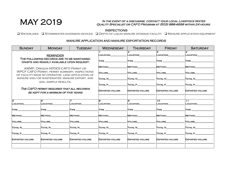## IN THE EVENT OF A DISCHARGE, CONTACT YOUR LOCAL LIVESTOCK WATER<br>QUALITY SPECIALIST OR CAFO PROGRAM AT (503) 986-4699 WITHIN 24 HOURS.

### INSPECTIONS

q Waterlines q Stormwater diversion devices q Depth of liquid manure storage facility q Manure application equipment

| <b>SUNDAY</b>                                                                                      | <b>MONDAY</b>                                                                             | <b>TUESDAY</b>         | <b>WEDNESDAY</b>               | <b>THURSDAY</b>                      | <b>FRIDAY</b>          | <b>SATURDAY</b>        |
|----------------------------------------------------------------------------------------------------|-------------------------------------------------------------------------------------------|------------------------|--------------------------------|--------------------------------------|------------------------|------------------------|
| <b>REMINDER</b>                                                                                    |                                                                                           |                        | LOCATION                       | 2<br>LOCATION                        | 3<br><b>_OCATION</b>   | LOCATION               |
|                                                                                                    | THE FOLLOWING RECORDS ARE TO BE MAINTAINED<br>ON SITE AND READILY AVAILABLE UPON REQUEST. |                        | <b>TYPE</b>                    | $\mathsf{T}\mathsf{YPE} \_\_\_\_\_\$ | <b>TYPE</b>            | <b>TYPE</b>            |
|                                                                                                    | AWMP, OREGON NPDES CAFO PERMIT OR                                                         |                        | METHOD                         | METHOD                               | METHOD                 | METHOD                 |
| WPCF CAFO PERMIT, PERMIT SUMMARY, INSPECTIONS<br>OF FACILITY MADE BY OPERATOR, LAND APPLICATION OF |                                                                                           |                        | VOLUME                         | <b>VOLUME</b>                        | VOLUME                 | <b>VOLUME</b>          |
| MANURE AND/OR WASTEWATER, MANURE EXPORT, AND                                                       |                                                                                           |                        | TOTAL N                        | TOTAL N                              | TOTAL N                | TOTAL N                |
| SOIL SAMPLE RESULTS.                                                                               |                                                                                           |                        | TOTAL P                        | TOTAL P                              | TOTAL P                | TOTAL P                |
| THE CAFO PERMIT REQUIRES THAT ALL RECORDS<br>BE KEPT FOR A MINIMUM OF FIVE YEARS.                  |                                                                                           |                        | <b>EXPORTED VOLUME</b>         | <b>EXPORTED VOLUME</b>               | <b>EXPORTED VOLUME</b> | <b>EXPORTED VOLUME</b> |
| 5                                                                                                  | 6                                                                                         |                        |                                | 9                                    | 10 <sup>1</sup>        | 11                     |
| LOCATION                                                                                           | LOCATION                                                                                  | LOCATION               | LOCATION                       | LOCATION                             | LOCATION               | LOCATION               |
| TYPE ______                                                                                        | TYPE ______                                                                               | TYPE ___               |                                | <b>TYPE</b>                          | <b>TYPE</b>            | <b>TYPE</b>            |
| METHOD                                                                                             | <b>METHOD</b>                                                                             | <b>METHOD</b>          | <b>METHOD</b>                  | METHOD                               | <b>METHOD</b>          | <b>METHOD</b>          |
| <b>VOLUME</b>                                                                                      | VOLUME                                                                                    | VOLUME                 | <b>VOLUME</b>                  | VOLUME                               | VOLUME                 | VOLUME                 |
| TOTAL N_                                                                                           | TOTAL N                                                                                   | TOTAL N                | TOTAL N                        | TOTAL N                              | TOTAL N                | TOTAL N                |
| TOTAL P_                                                                                           | TOTAL P                                                                                   | $T$ OTAL P $\_$        | $T$ OTAL P $\_\_\_\_\_\_\_\_\$ | $\Gamma$ OTAL P $\Gamma$             | <b>TOTAL P</b>         | TOTAL P                |
| <b>EXPORTED VOLUME</b>                                                                             | <b>EXPORTED VOLUME</b>                                                                    | <b>EXPORTED VOLUME</b> | <b>EXPORTED VOLUME</b>         | <b>EXPORTED VOLUME</b>               | <b>EXPORTED VOLUME</b> | <b>EXPORTED VOLUME</b> |
|                                                                                                    |                                                                                           |                        |                                |                                      |                        |                        |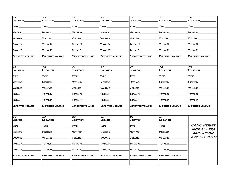| 12                            | 13                     | 14                                     | 15                             | 16                            | 17                             | 18                                      |
|-------------------------------|------------------------|----------------------------------------|--------------------------------|-------------------------------|--------------------------------|-----------------------------------------|
| LOCATION                      | LOCATION               | <b>LOCATION</b>                        | LOCATION                       | LOCATION_                     | LOCATION                       | LOCATION                                |
| TYPE_                         | $Type-$                |                                        | TYPE_                          | $\mathsf{T}\mathsf{YPE}$ ____ | $\mathsf{T} \mathsf{YPE} \_\_$ | $T$ YPE $\equiv$                        |
| METHOD                        | Method.                | <b>METHOD</b>                          | METHOD                         | METHOD                        | <b>METHOD</b>                  | <b>METHOD</b>                           |
| VOLUME_                       | VOLUME                 | VOLUME                                 | Volume_                        | Volume                        | Volume_                        | VOLUME                                  |
| TOTAL N_                      | Total N_               | Total N_                               | TOTAL N_                       | Total N_                      | Total N_                       | TOTAL N                                 |
| TOTAL P_                      | Total P_               | TOTAL P_                               | TOTAL P_                       | Total P_                      | Total P_                       | Total P_                                |
| <b>EXPORTED VOLUME</b>        | <b>EXPORTED VOLUME</b> | EXPORTED VOLUME                        | <b>EXPORTED VOLUME</b>         | EXPORTED VOLUME               | <b>EXPORTED VOLUME</b>         | <b>EXPORTED VOLUME</b>                  |
| $\overline{19}$               | 20                     | 21                                     | 22                             | 23                            | 24                             | 25                                      |
| LOCATION                      | LOCATION_              | LOCATION_                              | LOCATION_                      | LOCATION_                     | _OCATION_                      | LOCATION_                               |
| $\mathsf{T} \mathsf{YPE}$ ___ | $\sf{Type\_}$          | $\mathsf{T} \mathsf{YPE} \_$           | $\sf{Type\_}$                  | TYPE .                        | $\sf{Type\_}$                  | TYPE_                                   |
| METHOD                        | Method_                | <b>METHOD</b>                          | METHOD                         | <b>METHOD</b>                 | <b>METHOD</b>                  | METHOD                                  |
| <b>VOLUME</b>                 | <b>VOLUME</b>          | <b>VOLUME</b>                          | Volume_                        | <b>VOLUME</b>                 | VOLUME                         | <b>VOLUME</b>                           |
| Total N_                      | TOTAL N                | TOTAL N                                | <b>TOTAL N</b>                 | Total N                       | TOTAL N                        | TOTAL N                                 |
| TOTAL P_                      | Total P                | TOTAL P                                | TOTAL P_                       | Total P_                      | Total P_                       | Total P                                 |
| <b>EXPORTED VOLUME</b>        | <b>EXPORTED VOLUME</b> | EXPORTED VOLUME                        | <b>EXPORTED VOLUME</b>         | EXPORTED VOLUME               | <b>EXPORTED VOLUME</b>         | <b>EXPORTED VOLUME</b>                  |
| $\overline{26}$               | 27                     | 82                                     | 29                             | 90                            | 31                             |                                         |
| <b>LOCATION</b>               | LOCATION               | LOCATION                               | <b>LOCATION</b>                | LOCATION                      | LOCATION_                      |                                         |
| $\mathsf{T}\mathsf{YPE}$ ____ | TYPE                   | $\textsf{T} \textsf{YPE} \_\textsf{I}$ | $\mathsf{T} \mathsf{YPE}$ $\_$ | $T$ YPE $_{-}$                | $T$ YPE $\_\_$                 | <b>CAFO PERMIT</b>                      |
| METHOD_                       | <b>METHOD</b>          | <b>METHOD</b>                          | <b>METHOD</b>                  | <b>METHOD</b>                 | <b>METHOD</b>                  | <b>ANNUAL FEES</b><br><b>ARE DUE ON</b> |
| VOLUME                        | <b>VOLUME</b>          | VOLUME                                 | VOLUME_                        | VOLUME                        | VOLUME_                        | <b>JUNE 30, 2019</b>                    |
| TOTAL N                       | Total N_               | TOTAL N                                | TOTAL N                        | TOTAL N                       | TOTAL N_                       |                                         |
| TOTAL P                       | TOTAL P_               | Total P_                               | TOTAL P_                       | Total P_                      | TOTAL P                        |                                         |
| <b>EXPORTED VOLUME</b>        | <b>EXPORTED VOLUME</b> | <b>EXPORTED VOLUME</b>                 | <b>EXPORTED VOLUME</b>         | <b>EXPORTED VOLUME</b>        | <b>EXPORTED VOLUME</b>         |                                         |
|                               |                        |                                        |                                |                               |                                |                                         |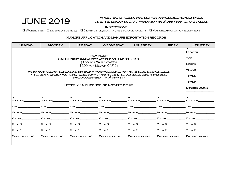## In the event of a discharge, contact your local Livestock Water JUNE 2019 Quality Specialist or CAFO Program at (503) 986-4699 within 24 hours*.*

#### INSPECTIONS

q Waterlines q diversion devices q Depth of liquid manure storage facility q Manure application equipment

| <b>SUNDAY</b>                                                                                                                                                                                          | <b>MONDAY</b>                                                 | <b>TUESDAY</b>         | <b>WEDNESDAY</b>       | <b>THURSDAY</b>        | <b>FRIDAY</b>          | <b>SATURDAY</b>        |
|--------------------------------------------------------------------------------------------------------------------------------------------------------------------------------------------------------|---------------------------------------------------------------|------------------------|------------------------|------------------------|------------------------|------------------------|
|                                                                                                                                                                                                        | LOCATION<br><b>TYPE</b><br>METHOD                             |                        |                        |                        |                        |                        |
| IN MAY YOU SHOULD HAVE RECEIVED A POST CARD WITH INSTRUCTIONS ON HOW TO PAY YOUR PERMIT FEE ONLINE.<br>IF YOU DIDN'T RECEIVE A POST CARD, PLEASE CONTACT YOUR LOCAL LIVESTOCK WATER QUALITY SPECIALIST | <b>NOLUME</b><br>TOTAL N<br>TOTAL P<br><b>EXPORTED VOLUME</b> |                        |                        |                        |                        |                        |
| l2                                                                                                                                                                                                     | l3.                                                           | 4                      | l5                     | 6                      | $\overline{z}$         | lв                     |
| <b>LOCATION</b>                                                                                                                                                                                        | LOCATION                                                      | LOCATION               | LOCATION               | LOCATION               | LOCATION               | <b>LOCATION</b>        |
| <b>TYPE</b>                                                                                                                                                                                            | $\mathsf{I}$ TYPE $\_\_$                                      | <b>TYPE</b>            | <b>TYPE</b>            | <b>TYPE</b>            | <b>TYPE</b>            | <b>TYPE</b>            |
| METHOD                                                                                                                                                                                                 | METHOD                                                        | <b>METHOD</b>          | <b>METHOD</b>          | METHOD                 | METHOD                 | METHOD                 |
| <b>NOLUME</b>                                                                                                                                                                                          | <b>VOLUME</b>                                                 | <b>VOLUME</b>          | <b>VOLUME</b>          | <b>VOLUME</b>          | VOLUME                 | <b>NOLUME</b>          |
| TOTAL N                                                                                                                                                                                                | TOTAL N                                                       | Total N_               | TOTAL N                | TOTAL N                | Total N                | TOTAL N                |
| TOTAL P_                                                                                                                                                                                               | TOTAL P                                                       | TOTAL P_               | TOTAL P________        | TOTAL P_               | TOTAL P                | <b>TOTAL P</b>         |
| <b>EXPORTED VOLUME</b>                                                                                                                                                                                 | <b>EXPORTED VOLUME</b>                                        | <b>EXPORTED VOLUME</b> | <b>EXPORTED VOLUME</b> | <b>EXPORTED VOLUME</b> | <b>EXPORTED VOLUME</b> | <b>EXPORTED VOLUME</b> |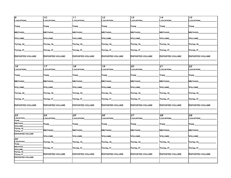| l9                                  | 10 <sup>2</sup>              | 11                             | 12 <sup>2</sup>                | 13                                                  | 14                                                  | 15                             |
|-------------------------------------|------------------------------|--------------------------------|--------------------------------|-----------------------------------------------------|-----------------------------------------------------|--------------------------------|
| LOCATION                            | LOCATION_                    | LOCATION_                      | LOCATION                       | LOCATION_                                           | <b>LOCATION</b>                                     | LOCATION                       |
|                                     |                              |                                |                                |                                                     |                                                     |                                |
|                                     |                              |                                |                                |                                                     |                                                     |                                |
| $T$ YPE $\_\_\_\_\$                 | $\mathsf{T} \mathsf{YPE} \_$ |                                | $\mathsf{T} \mathsf{YPE}$ ____ | $\mathsf{T} \mathsf{YPE} \_\_\_\_\_\$               | TYPE _______                                        | $\mathsf{T} \mathsf{YPE}$ $\_$ |
|                                     |                              |                                |                                |                                                     |                                                     |                                |
| METHOD                              | Method                       | <b>METHOD</b>                  | <b>METHOD</b>                  | <b>METHOD</b>                                       | <b>METHOD</b>                                       | <b>METHOD</b>                  |
|                                     |                              |                                |                                |                                                     |                                                     |                                |
| VOLUME_                             | VOLUME                       | VOLUME                         | VOLUME                         | VOLUME                                              | VOLUME                                              | VOLUME                         |
|                                     |                              |                                |                                |                                                     |                                                     |                                |
| Total N_                            | Total N_                     | Total N_                       | Total N_                       | Total N                                             | Total N__                                           | Total N_                       |
|                                     |                              |                                |                                |                                                     |                                                     |                                |
|                                     |                              |                                |                                |                                                     |                                                     |                                |
| TOTAL P______                       | $\overline{a}$ Total P       | $\overline{\text{Total P}}$    | $\Gamma$ otal P $\_\_$         | TOTAL P__                                           | $\overline{\text{Total P}}$                         | TOTAL P__                      |
|                                     |                              |                                |                                |                                                     |                                                     |                                |
| <b>EXPORTED VOLUME</b>              | <b>EXPORTED VOLUME</b>       | <b>EXPORTED VOLUME</b>         | <b>EXPORTED VOLUME</b>         | EXPORTED VOLUME                                     | <b>EXPORTED VOLUME</b>                              | <b>EXPORTED VOLUME</b>         |
|                                     |                              |                                |                                |                                                     |                                                     |                                |
|                                     |                              |                                |                                |                                                     |                                                     |                                |
| 16                                  | 17 <sup>7</sup>              | 18                             | 19                             | 20                                                  | $21^{1}$                                            | 22                             |
|                                     |                              |                                |                                |                                                     |                                                     | LOCATION                       |
| LOCATION                            | <b>LOCATION</b>              | LOCATION___                    | LOCATION_                      | <b>LOCATION</b>                                     | LOCATION___                                         |                                |
|                                     |                              |                                |                                |                                                     |                                                     |                                |
| $\mathsf{T} \mathsf{YPE} \_\_\_\_\$ | $\sf{Type\_}$                | $\mathsf{T} \mathsf{YPE}$      | $\sf{Type\_}$                  | $\mathsf{T} \mathsf{YPE}$ . The set of $\mathsf{S}$ | $\mathsf{T} \mathsf{YPE}$ . The set of $\mathsf{S}$ | $\mathsf{T} \mathsf{YPE}$ $\_$ |
|                                     |                              |                                |                                |                                                     |                                                     |                                |
| METHOD_                             | Method_                      | Method_                        | METHOD                         | Method_                                             | METHOD______                                        | METHOD                         |
|                                     |                              |                                |                                |                                                     |                                                     |                                |
| VOLUME                              | Volume__                     | VOLUME                         | VOLUME                         | VOLUME                                              | Volume                                              | VOLUME                         |
|                                     |                              |                                |                                |                                                     |                                                     |                                |
| TOTAL N_______                      | Total N                      | TOTAL N                        | Total N                        | Total N                                             | Total N                                             | $\Gamma$ otal N $\Gamma$       |
|                                     |                              |                                |                                |                                                     |                                                     |                                |
|                                     |                              |                                |                                |                                                     |                                                     |                                |
| TOTAL P_                            | TOTAL P                      | TOTAL P_                       | TOTAL P_                       | $\Gamma$ otal P $\_$                                | TOTAL P_                                            | TOTAL P_                       |
|                                     |                              |                                |                                |                                                     |                                                     |                                |
| <b>EXPORTED VOLUME</b>              | EXPORTED VOLUME              | <b>EXPORTED VOLUME</b>         | EXPORTED VOLUME                | EXPORTED VOLUME                                     | EXPORTED VOLUME                                     | <b>EXPORTED VOLUME</b>         |
|                                     |                              |                                |                                |                                                     |                                                     |                                |
|                                     |                              |                                |                                |                                                     |                                                     |                                |
| 23                                  | 24                           | 25                             | 26                             | 27                                                  | 28                                                  | 29                             |
| LOCATION_                           | LOCATION                     | <b>LOCATION</b>                | LOCATION                       | LOCATION                                            | LOCATION                                            | <b>LOCATION</b>                |
| TYPE_                               |                              |                                |                                |                                                     |                                                     |                                |
| METHOD_                             |                              |                                |                                |                                                     |                                                     |                                |
| <b>VOLUME</b>                       | TYPE                         | $\mathsf{T} \mathsf{YPE} \_\_$ | $\mathsf{T}\mathsf{YPE} \_\_$  | $\mathsf{T}\mathsf{YPE} \_\_$                       | $\mathsf{T}\mathsf{YPE}$ ____                       | $\textsf{T} \textsf{YPE} \_$   |
| <b>TOTAL N_</b>                     |                              |                                |                                |                                                     |                                                     |                                |
| TOTAL P_                            | Method_                      | <b>Method</b>                  | <b>METHOD</b>                  | Method                                              | <b>METHOD</b>                                       | <b>METHOD</b>                  |
| <b>EXPORTED VOLUME</b>              |                              |                                |                                |                                                     |                                                     |                                |
|                                     | Volume                       | Volume_                        | Volume                         | Volume                                              | Volume                                              | Volume_                        |
| 30                                  |                              |                                |                                |                                                     |                                                     |                                |
| LOCATION                            | Total N                      | TOTAL N                        | TOTAL N                        | Total N                                             | Total N                                             | TOTAL N                        |
| TYPE_                               |                              |                                |                                |                                                     |                                                     |                                |
| METHOD                              |                              |                                |                                |                                                     |                                                     |                                |
| <b>VOLUME</b>                       | TOTAL P_                     | TOTAL P__                      | Total P__                      | Total P_                                            |                                                     | TOTAL P_                       |
| <b>TOTAL N</b>                      |                              |                                |                                |                                                     |                                                     |                                |
| <b>TOTAL P</b>                      | EXPORTED VOLUME              | <b>EXPORTED VOLUME</b>         | <b>EXPORTED VOLUME</b>         | EXPORTED VOLUME                                     | <b>EXPORTED VOLUME</b>                              | <b>EXPORTED VOLUME</b>         |
| <b>EXPORTED VOLUME</b>              |                              |                                |                                |                                                     |                                                     |                                |
|                                     |                              |                                |                                |                                                     |                                                     |                                |
|                                     |                              |                                |                                |                                                     |                                                     |                                |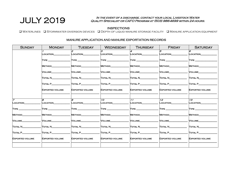## $\mathrm{JULY}$  2019 In the event of a discharge, contact your local Livestock Water  $_\mathrm{2019}$ Quality Specialist or CAFO Program at (503) 986-4699 within 24 hours.

#### INSPECTIONS

q Waterlines q Stormwater diversion devices q Depth of liquid manure storage facility q Manure application equipment

| <b>SUNDAY</b>              | <b>MONDAY</b>          | <b>TUESDAY</b>         | <b>WEDNESDAY</b>          | <b>THURSDAY</b>        | <b>FRIDAY</b>                             | <b>SATURDAY</b>                    |
|----------------------------|------------------------|------------------------|---------------------------|------------------------|-------------------------------------------|------------------------------------|
|                            | LOCATION_              | 2<br>LOCATION          | l.3<br>LOCATION           | LOCATION               | 5<br>LOCATION                             | 6<br>_OCATION                      |
|                            |                        |                        |                           | TYPE                   | $\mathsf{T} \mathsf{YPE} \_\_\_\_\_\_\_\$ |                                    |
|                            | <b>METHOD</b>          | <b>METHOD</b>          | <b>METHOD</b>             | <b>METHOD</b>          | <b>METHOD</b>                             | <b>METHOD</b>                      |
|                            | <b>VOLUME</b>          | <b>VOLUME</b>          | <b>VOLUME</b>             | <b>VOLUME</b>          | <b>VOLUME</b>                             | <b>VOLUME</b>                      |
|                            | Total N                | Total N                | TOTAL N                   | <b>TOTAL N</b>         | Total N                                   | <b>TOTAL N</b>                     |
|                            | TOTAL P                | TOTAL P_               | TOTAL P                   | TOTAL P                | TOTAL P                                   | TOTAL P                            |
|                            | <b>EXPORTED VOLUME</b> | <b>EXPORTED VOLUME</b> | <b>EXPORTED VOLUME</b>    | <b>EXPORTED VOLUME</b> | <b>EXPORTED VOLUME</b>                    | <b>EXPORTED VOLUME</b>             |
|                            |                        |                        |                           |                        |                                           |                                    |
| $\overline{z}$<br>LOCATION | B<br><b>LOCATION</b>   | 9<br>LOCATION          | $10-1$<br><b>COCATION</b> | 11<br>LOCATION         | 12 <sup>12</sup><br>LOCATION              | $\overline{13}$<br><b>LOCATION</b> |
| <b>TYPE</b>                | <b>TYPE</b>            | <b>TYPE</b>            | <b>TYPE</b>               | <b>TYPE</b>            | <b>TYPE</b>                               | <b>TYPE</b>                        |
| METHOD_                    | METHOD                 | METHOD                 | METHOD                    | METHOD                 | METHOD_                                   | METHOD_                            |
| <b>VOLUME</b>              | <b>VOLUME</b>          | VOLUME                 | VOLUME                    | <b>VOLUME</b>          | VOLUME                                    | <b>VOLUME</b>                      |
| Total N                    | TOTAL N                | Total N                | TOTAL N                   | Total N                | Total N                                   | TOTAL N                            |
| TOTAL P                    | TOTAL P                | TOTAL P                | TOTAL P                   | TOTAL P                | TOTAL P                                   | TOTAL P                            |
| <b>EXPORTED VOLUME</b>     | <b>EXPORTED VOLUME</b> | <b>EXPORTED VOLUME</b> | <b>EXPORTED VOLUME</b>    | <b>EXPORTED VOLUME</b> | <b>EXPORTED VOLUME</b>                    | <b>EXPORTED VOLUME</b>             |
|                            |                        |                        |                           |                        |                                           |                                    |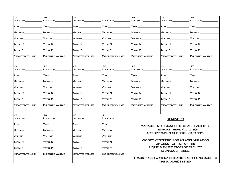| $\sqrt{14}$                    | 15                            | 16                                      | 17                               | 18                                      | 19                                                              | 20                                             |
|--------------------------------|-------------------------------|-----------------------------------------|----------------------------------|-----------------------------------------|-----------------------------------------------------------------|------------------------------------------------|
| LOCATION                       | <b>LOCATION</b>               | LOCATION                                | LOCATION                         | LOCATION                                | LOCATION                                                        | LOCATION                                       |
| $\mathsf{T} \mathsf{YPE} \_\_$ | $\mathsf{T}\mathsf{YPE} \_\_$ | $\mathsf{T} \mathsf{YPE} \_\_\_\_\_\$   | $\mathsf{T} \mathsf{YPE}$        | $\mathsf{T} \mathsf{YPE} \_\_\_\_\_\_\$ | $\mathsf{T} \mathsf{YPE} \_\_\_\_\$                             | $\mathsf{T}\mathsf{YPE} \_\_$                  |
| METHOD                         | METHOD                        | <b>METHOD</b>                           | <b>METHOD</b>                    | <b>METHOD</b>                           | <b>METHOD</b>                                                   | <b>METHOD</b>                                  |
| VOLUME__                       | VOLUME_                       | VOLUME_                                 | VOLUME_                          | Volume                                  | Volume__                                                        | VOLUME_                                        |
| Total N_                       | Total N                       | Total N                                 | Total N                          | Total N                                 | Total N                                                         | TOTAL N                                        |
| TOTAL P_________               | $\overline{a}$                | $\Gamma$ OTAL P $\Gamma$                | TOTAL P                          | $T$ OTAL $P$                            | $\Gamma$ otal P $\_\_\_\_\_\_\_\_\_\$                           | TOTAL P                                        |
| <b>EXPORTED VOLUME</b>         | <b>EXPORTED VOLUME</b>        | <b>EXPORTED VOLUME</b>                  | <b>EXPORTED VOLUME</b>           | <b>EXPORTED VOLUME</b>                  | <b>EXPORTED VOLUME</b>                                          | <b>EXPORTED VOLUME</b>                         |
| 21                             | 22                            | 23                                      | 24                               | 25                                      | 26                                                              | 27                                             |
| LOCATION                       | LOCATION                      | LOCATION                                | LOCATION                         | LOCATION_                               | LOCATION                                                        | LOCATION_                                      |
| $\mathsf{T} \mathsf{YPE}$ ____ | $\sf{Type\_}$                 | $\mathsf{T} \mathsf{YPE} \_\_\_\_\_\_\$ | $\mathsf{T} \mathsf{YPE}$ $\_\_$ | $\mathsf{T} \mathsf{YPE} \_\_\_\_\_\_\$ | $\mathsf{T} \mathsf{YPE} \_$                                    | $\mathsf{T} \mathsf{YPE}$ _                    |
| METHOD_                        | METHOD                        | METHOD                                  | METHOD                           | Method                                  | Method                                                          | METHOD_                                        |
| <b>VOLUME</b>                  | VOLUME                        | VOLUME                                  | <b>VOLUME</b>                    | VOLUME                                  | Volume_                                                         | <b>VOLUME</b>                                  |
| Total N                        | Total N                       | Total N                                 | Total N                          | Total N                                 | Total N                                                         | TOTAL N                                        |
| Total P $\_$                   | Total P                       | TOTAL P                                 | TOTAL P                          | Тотаl Р                                 | TOTAL P                                                         | TOTAL P                                        |
| <b>EXPORTED VOLUME</b>         | <b>EXPORTED VOLUME</b>        | <b>EXPORTED VOLUME</b>                  | <b>EXPORTED VOLUME</b>           | EXPORTED VOLUME                         | <b>EXPORTED VOLUME</b>                                          | <b>EXPORTED VOLUME</b>                         |
| 28                             | 29                            | 30                                      | 31                               |                                         |                                                                 |                                                |
| LOCATION                       | LOCATION                      | LOCATION                                | LOCATION                         |                                         | <b>REMINDER</b>                                                 |                                                |
| TYPE ____                      | TYPE                          | $\mathsf{T}\mathsf{YPE} \_\_\_\_\_\$    | <b>TYPE</b>                      |                                         | <b>MANAGE LIQUID MANURE STORAGE FACILITIES</b>                  |                                                |
| METHOD_                        | <b>METHOD</b>                 | METHOD                                  | <b>METHOD</b>                    |                                         | TO ENSURE THESE FACILITIES<br>ARE OPERATING AT DESIGN CAPACITY. |                                                |
| VOLUME                         | VOLUME                        | VOLUME                                  | VOLUME                           |                                         |                                                                 |                                                |
| TOTAL N_                       | TOTAL N__                     | Total N_________                        | TOTAL N                          |                                         | WOODY VEGETATION OR AN ACCUMULATION<br>OF CRUST ON TOP OF THE   |                                                |
| TOTAL P_                       | TOTAL P                       | TOTAL P                                 | TOTAL P                          |                                         | LIQUID MANURE STORAGE FACILITY                                  |                                                |
| <b>EXPORTED VOLUME</b>         | <b>EXPORTED VOLUME</b>        | <b>EXPORTED VOLUME</b>                  | <b>EXPORTED VOLUME</b>           |                                         | IS UNACCEPTABLE.                                                |                                                |
|                                |                               |                                         |                                  |                                         | THE MANURE SYSTEM                                               | TRACK FRESH WATER/IRRIGATION ADDITIONS MADE TO |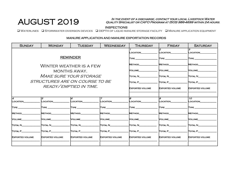## AUGUST 2019

#### In the event of a discharge, contact your local Livestock Water Quality Specialist or CAFO Program at (503) 986-4699 within 24 hours.

q Waterlines q Stormwater diversion devices q depth of liquid manure storage facility q Manure application equipment

| <b>SUNDAY</b>          | <b>MONDAY</b>                                                              | <b>TUESDAY</b>         | <b>WEDNESDAY</b>                      | <b>THURSDAY</b>        | <b>FRIDAY</b>          | <b>SATURDAY</b>                    |
|------------------------|----------------------------------------------------------------------------|------------------------|---------------------------------------|------------------------|------------------------|------------------------------------|
|                        |                                                                            |                        |                                       | LOCATION______         | 2<br><b>LOCATION</b>   | l.3<br><b>LOCATION</b>             |
|                        |                                                                            | <b>REMINDER</b>        | $\mathsf{T} \mathsf{YPE} \_\_\_\_\_\$ | <b>TYPE</b>            | <b>TYPE</b>            |                                    |
|                        | WINTER WEATHER IS A FEW                                                    |                        | METHOD                                | METHOD                 | METHOD                 |                                    |
|                        |                                                                            | MONTHS AWAY.           |                                       | VOLUME                 | VOLUME                 | <b>NOLUME</b>                      |
|                        | <i>MAKE SURE YOUR STORAGE</i>                                              |                        |                                       | Total N                | Total N                | TOTAL N                            |
|                        | STRUCTURES ARE ON COURSE TO BE                                             |                        |                                       | TOTAL P                | TOTAL P                | TOTAL P                            |
|                        |                                                                            | READY/EMPTIED IN TIME. | <b>EXPORTED VOLUME</b>                | <b>EXPORTED VOLUME</b> | <b>EXPORTED VOLUME</b> |                                    |
|                        |                                                                            |                        |                                       |                        |                        |                                    |
| 14<br>LOCATION         | 5<br>LOCATION                                                              | 6<br>LOCATION          | 7<br>LOCATION                         | B<br>LOCATION          | 9<br>LOCATION          | 10 <sup>1</sup><br><b>LOCATION</b> |
|                        |                                                                            |                        |                                       |                        |                        |                                    |
| <b>TYPE</b>            | $\mathsf{TYPE} \_\_\_\_\_\_\_\$                                            | <b>TYPE</b>            | <b>TYPE</b>                           |                        | <b>TYPE</b>            | <b>TYPE</b>                        |
| <b>METHOD</b>          | METHOD                                                                     | <b>METHOD</b>          | METHOD                                | <b>METHOD</b>          | <b>METHOD</b>          | <b>METHOD</b>                      |
| <b>VOLUME</b>          | VOLUME                                                                     | Volume                 | VOLUME                                | VOLUME                 | VOLUME                 | <b>NOLUME</b>                      |
| TOTAL N                | Total N                                                                    | Total N                | TOTAL N                               | TOTAL N                | TOTAL N                | <b>TOTAL N</b>                     |
| TOTAL P________        | TOTAL P__________                                                          | TOTAL P                | TOTAL P_________                      | TOTAL P                | TOTAL P                | TOTAL P                            |
| <b>EXPORTED VOLUME</b> | <b>EXPORTED VOLUME</b><br><b>EXPORTED VOLUME</b><br><b>EXPORTED VOLUME</b> |                        |                                       | <b>EXPORTED VOLUME</b> | <b>EXPORTED VOLUME</b> | <b>EXPORTED VOLUME</b>             |
|                        |                                                                            |                        |                                       |                        |                        |                                    |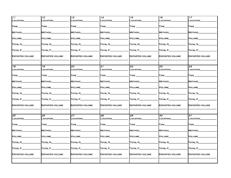| $\vert$ 1 1                         | 12                              | 13                                                                                                                                                                                                                                                                                                                                                  | 14                                 | 15                                                    | 16                                        | 17                                       |
|-------------------------------------|---------------------------------|-----------------------------------------------------------------------------------------------------------------------------------------------------------------------------------------------------------------------------------------------------------------------------------------------------------------------------------------------------|------------------------------------|-------------------------------------------------------|-------------------------------------------|------------------------------------------|
| LOCATION                            | LOCATION                        | LOCATION_                                                                                                                                                                                                                                                                                                                                           | LOCATION                           | LOCATION                                              | LOCATION_                                 | LOCATION                                 |
|                                     |                                 |                                                                                                                                                                                                                                                                                                                                                     |                                    |                                                       |                                           |                                          |
| TYPE _____                          | TYPE _______                    | $\mathsf{T} \mathsf{YPE} \_\_\_\_\_\$                                                                                                                                                                                                                                                                                                               | TYPE ______                        | $\mathsf{T}\mathsf{YPE} \_\_\_\_\_\$                  | $T$ YPE $\_\_\_\_\_\_\$                   | $\mathsf{T}\mathsf{YPE}$ ____            |
| METHOD_                             | <b>METHOD</b>                   | METHOD                                                                                                                                                                                                                                                                                                                                              | METHOD_                            | <b>METHOD</b>                                         | Method_                                   | METHOD                                   |
| VOLUME_                             | VOLUME                          | VOLUME________                                                                                                                                                                                                                                                                                                                                      | VOLUME_______                      | VOLUME                                                | VOLUME                                    | VOLUME_                                  |
| TOTAL N                             | TOTAL N_                        | Total N________                                                                                                                                                                                                                                                                                                                                     | Total N_                           | Total N_                                              | TOTAL N                                   | Total N_                                 |
| $T$ OTAL $P$ <sub>_________</sub>   | TOTAL P_______                  | $\begin{picture}(18,17) \put(0,0){\line(1,0){10}} \put(15,0){\line(1,0){10}} \put(15,0){\line(1,0){10}} \put(15,0){\line(1,0){10}} \put(15,0){\line(1,0){10}} \put(15,0){\line(1,0){10}} \put(15,0){\line(1,0){10}} \put(15,0){\line(1,0){10}} \put(15,0){\line(1,0){10}} \put(15,0){\line(1,0){10}} \put(15,0){\line(1,0){10}} \put(15,0){\line(1$ | $T$ OTAL P $\_\_\_\_\_\_\_\_\_\_\$ | $\Gamma$ OTAL P $\_\_\_\_\_\_\_\_\_\_\$               | $\Gamma$ OTAL P $\_\_\_\_\_\_\_\_\_\_\$   | $\overline{\text{Total P}}_{\text{max}}$ |
| <b>EXPORTED VOLUME</b>              | <b>EXPORTED VOLUME</b>          | <b>EXPORTED VOLUME</b>                                                                                                                                                                                                                                                                                                                              | <b>EXPORTED VOLUME</b>             | <b>EXPORTED VOLUME</b>                                | <b>EXPORTED VOLUME</b>                    | <b>EXPORTED VOLUME</b>                   |
|                                     | $\overline{19}$                 | 20                                                                                                                                                                                                                                                                                                                                                  | $\overline{21}$                    |                                                       | 23                                        | $\overline{24}$                          |
| 18<br>LOCATION                      | LOCATION_                       | LOCATION                                                                                                                                                                                                                                                                                                                                            | LOCATION__                         | 22<br>LOCATION_                                       | LOCATION                                  | LOCATION_                                |
|                                     |                                 |                                                                                                                                                                                                                                                                                                                                                     |                                    |                                                       |                                           |                                          |
| $T$ YPE $\_\_$                      | $\mathsf{T} \mathsf{YPE} \_\_$  | $\mathsf{T} \mathsf{YPE} \_\_\_\_\_\_\_\_\$                                                                                                                                                                                                                                                                                                         | $\mathsf{T}\mathsf{YPE} \_\_$      | TYPE <b>The Communist Street Street Street Street</b> | $\mathsf{T} \mathsf{YPE} \_\_\_\_\_\_\_\$ | $\mathsf{T}\mathsf{YPE}$ ____            |
| METHOD_                             | <b>METHOD</b>                   | METHOD                                                                                                                                                                                                                                                                                                                                              | METHOD                             | <b>METHOD</b>                                         | METHOD______                              | METHOD_                                  |
| VOLUME                              | VOLUME                          | VOLUME_                                                                                                                                                                                                                                                                                                                                             | Volume_                            | Volume                                                | VOLUME                                    | VOLUME_                                  |
| TOTAL N________                     | Total N                         | TOTAL N_________                                                                                                                                                                                                                                                                                                                                    | TOTAL N________                    | Total N                                               | TOTAL N_________                          | TOTAL N_                                 |
| $\overline{\text{Total P}}_{\perp}$ | TOTAL P_                        | TOTAL P_                                                                                                                                                                                                                                                                                                                                            | Total P_                           | TOTAL P__                                             | $T$ OTAL P $\_\_\_\_\_\_\_\_\_\$          | Total P_                                 |
| <b>EXPORTED VOLUME</b>              | <b>EXPORTED VOLUME</b>          | <b>EXPORTED VOLUME</b>                                                                                                                                                                                                                                                                                                                              | <b>EXPORTED VOLUME</b>             | <b>EXPORTED VOLUME</b>                                | <b>EXPORTED VOLUME</b>                    | <b>EXPORTED VOLUME</b>                   |
|                                     |                                 |                                                                                                                                                                                                                                                                                                                                                     |                                    |                                                       |                                           |                                          |
| $\overline{25}$<br>LOCATION         | 26<br>LOCATION_                 | 27<br>LOCATION                                                                                                                                                                                                                                                                                                                                      | 28<br>LOCATION                     | 29<br>LOCATION                                        | 30<br>LOCATION                            | 31<br>LOCATION                           |
|                                     |                                 |                                                                                                                                                                                                                                                                                                                                                     |                                    |                                                       |                                           |                                          |
| $T$ YPE $\_\_\_\_\$                 | $\mathsf{T}\mathsf{YPE}$ $\_\_$ | $\mathsf{T}\mathsf{YPE} \_\_\_\_\_\$                                                                                                                                                                                                                                                                                                                | $\mathsf{T}\mathsf{YPE}$           | <b>TYPE</b>                                           | $\mathsf{T}\mathsf{YPE}$                  | TYPE____                                 |
| METHOD_                             | <b>METHOD</b>                   | METHOD_                                                                                                                                                                                                                                                                                                                                             | METHOD_                            | <b>METHOD</b>                                         | METHOD_                                   | METHOD_                                  |
| <b>VOLUME</b>                       | Volume                          | VOLUME                                                                                                                                                                                                                                                                                                                                              | VOLUME                             | Volume____                                            | VOLUME                                    | VOLUME_                                  |
| TOTAL N                             | Total N                         | Total N                                                                                                                                                                                                                                                                                                                                             | Total N                            | Total N                                               | Total N                                   | Total N                                  |
| $\blacksquare$ otal P $\_$          | $\Gamma$ otal P $\_$            | $\overline{\text{Total P$\_\_\_\_\_}}$                                                                                                                                                                                                                                                                                                              | TOTAL P__                          | TOTAL P                                               | $\sqrt{1}$                                | Total P $\_$                             |
| <b>EXPORTED VOLUME</b>              | <b>EXPORTED VOLUME</b>          | <b>EXPORTED VOLUME</b>                                                                                                                                                                                                                                                                                                                              | <b>EXPORTED VOLUME</b>             | <b>EXPORTED VOLUME</b>                                | <b>EXPORTED VOLUME</b>                    | <b>EXPORTED VOLUME</b>                   |
|                                     |                                 |                                                                                                                                                                                                                                                                                                                                                     |                                    |                                                       |                                           |                                          |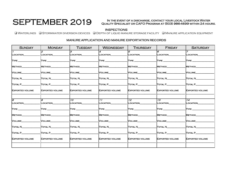## SEPTEMBER 2019

1

 $\overline{\phantom{a}}$ Type \_\_\_\_\_\_\_\_\_\_\_\_\_\_\_\_\_\_\_  $\overline{\phantom{a}}$ 

 $\overline{\phantom{a}}$ 

 $\overline{\phantom{a}}$ 

 $\overline{\phantom{a}}$ 

#### In the event of a discharge, contact your local Livestock Water Quality Specialist or CAFO Program at (503) 986-4699 within 24 hours.

INSPECTIONS INSECTIONS INSECTIONS AND READ TO DEPTH OF LIQUID MANURE STORAGE FACILITY IN MANURE APPLICATION EQUIPMENT

#### Sunday | Monday | Tuesday | Wednesday | Thursday | Friday | Saturday Location\_\_\_\_\_\_\_\_\_\_\_\_\_\_ METHOD\_ Volume\_\_\_\_\_\_\_\_\_\_\_\_\_\_\_\_ TOTAL N\_ Total P\_\_\_\_\_\_\_\_\_\_\_\_\_\_\_\_ 12 LOCATION Type \_\_\_\_\_\_\_\_\_\_\_\_\_\_\_\_\_\_\_ METHOD\_ Volume\_\_\_\_\_\_\_\_\_\_\_\_\_\_\_\_  $T$ otal N $\_$  $\Gamma$ total P $\_$ Exported volume \_\_\_\_\_\_\_\_\_\_\_\_\_\_\_\_\_\_\_\_\_\_\_\_ 13 Location\_\_\_\_\_\_\_\_\_\_\_\_\_\_  $\overline{\phantom{a}}$ Type \_\_\_\_\_\_\_\_\_\_\_\_\_\_\_\_\_\_\_  $\overline{\phantom{a}}$ METHOD\_  $\overline{\phantom{a}}$ Volume\_\_\_\_\_\_\_\_\_\_\_\_\_\_\_\_  $\overline{\phantom{a}}$  $\tt T$ otal N $\tt$  $\overline{\phantom{a}}$ Total P\_\_\_\_\_\_\_\_\_\_\_\_\_\_\_\_  $\overline{\phantom{a}}$ Exported volume \_\_\_\_\_\_\_\_\_\_\_\_\_\_\_\_\_\_\_\_\_\_\_\_ 4 Location\_\_\_\_\_\_\_\_\_\_\_\_\_\_  $\overline{\phantom{a}}$ Type \_\_\_\_\_\_\_\_\_\_\_\_\_\_\_\_\_\_\_  $\overline{\phantom{a}}$ Method\_  $\overline{\phantom{a}}$ Volume\_\_\_\_\_\_\_\_\_\_\_\_\_\_\_\_  $\overline{\phantom{a}}$ Total N\_\_\_\_\_\_\_\_\_\_\_\_\_\_\_\_  $\overline{\phantom{a}}$ Total P\_\_\_\_\_\_\_\_\_\_\_\_\_\_\_\_  $\overline{\phantom{a}}$ Exported volume \_\_\_\_\_\_\_\_\_\_\_\_\_\_\_\_\_\_\_\_\_\_\_\_ 5 LOCATION Type \_\_\_\_\_\_\_\_\_\_\_\_\_\_\_\_\_\_\_ METHOD\_ Volume\_\_\_\_\_\_\_\_\_\_\_\_\_\_\_\_  $T$ otal N $_{\odot}$ Total P\_\_\_\_\_\_\_\_\_\_\_\_\_\_\_\_ Exported volume \_\_\_\_\_\_\_\_\_\_\_\_\_\_\_\_\_\_\_\_\_\_\_\_ 6 Location\_\_\_\_\_\_\_\_\_\_\_\_\_\_  $\overline{\phantom{a}}$ TYPE  $\overline{\phantom{a}}$ Method\_\_\_\_\_\_\_\_\_\_\_\_\_\_\_\_  $\overline{\phantom{a}}$ Volume\_\_\_\_\_\_\_\_\_\_\_\_\_\_\_\_  $\overline{\phantom{a}}$ Total N\_\_\_\_\_\_\_\_\_\_\_\_\_\_\_\_  $\overline{\phantom{a}}$ Total P\_\_\_\_\_\_\_\_\_\_\_\_\_\_\_\_  $\overline{\phantom{a}}$ Exported volume \_\_\_\_\_\_\_\_\_\_\_\_\_\_\_\_\_\_\_\_\_\_\_\_ 7 Location\_\_\_\_\_\_\_\_\_\_\_\_\_\_  $\overline{\phantom{a}}$ Type  $\overline{\phantom{a}}$ Method\_  $\overline{\phantom{a}}$ Volume\_\_\_\_\_\_\_\_\_\_\_\_\_\_\_\_  $\overline{\phantom{a}}$ TOTAL N  $\overline{\phantom{a}}$ Total P\_\_\_\_\_\_\_\_\_\_\_\_\_\_\_\_  $\overline{\phantom{a}}$ 9 Location\_\_\_\_\_\_\_\_\_\_\_\_\_\_ Type \_\_\_\_\_\_\_\_\_\_\_\_\_\_\_\_\_\_\_ 10  $\mathsf{Loc}$ ation\_\_\_\_\_\_\_\_\_\_\_\_  $\overline{\phantom{a}}$ Type \_\_\_\_\_\_\_\_\_\_\_\_\_\_\_\_\_\_\_ 11 Location\_\_\_\_\_\_\_\_\_\_\_\_\_\_  $\overline{\phantom{a}}$ Type \_\_\_\_\_\_\_\_\_\_\_\_\_\_\_\_\_\_\_ 12 Location\_\_\_\_\_\_\_\_\_\_\_\_\_\_ Type \_\_\_\_\_\_\_\_\_\_\_\_\_\_\_\_\_\_\_ 13 Location\_\_\_\_\_\_\_\_\_\_\_\_\_\_  $\overline{\phantom{a}}$ Type \_\_\_\_\_\_\_\_\_\_\_\_\_\_\_\_\_\_\_ 14  $\overline{\phantom{a}}$

| <b>EXPORTED VOLUME</b> | <b>EXPORTED VOLUME</b> | <b>EXPORTED VOLUME</b> | <b>EXPORTED VOLUME</b> | <b>EXPORTED VOLUME</b> | <b>EXPORTED VOLUME</b> | <b>EXPORTED VOLUME</b> |
|------------------------|------------------------|------------------------|------------------------|------------------------|------------------------|------------------------|
|                        |                        |                        |                        |                        |                        |                        |
| க                      | 9                      | 10 <sup>1</sup>        | 11                     | 12 <sup>7</sup>        | 13                     | 14                     |
| LOCATION               | _OCATION_              | LOCATION_              | LOCATION_              | _OCATION_              | LOCATION               | LOCATION               |
| TYPE ______            | <b>TYPE</b>            | <b>TYPE</b>            | <b>TYPE</b>            | <b>TYPE</b>            | <b>TYPE</b>            | <b>TYPE</b>            |
| METHOD                 | METHOD                 | METHOD                 | METHOD                 | METHOD                 | <b>METHOD</b>          | METHOD                 |
| VOLUME                 | Volume_                | VOLUME_                | <b>VOLUME</b>          | <b>VOLUME</b>          | VOLUME                 | <b>VOLUME</b>          |
| TOTAL N                | Total N                | Total N                | TOTAL N                | TOTAL N                | TOTAL N                | <b>TOTAL N</b>         |
| TOTAL P                | TOTAL P                | TOTAL P                | TOTAL P                | TOTAL P                | TOTAL P                | TOTAL P                |
| <b>EXPORTED VOLUME</b> | <b>EXPORTED VOLUME</b> | <b>EXPORTED VOLUME</b> | <b>EXPORTED VOLUME</b> | <b>EXPORTED VOLUME</b> | <b>EXPORTED VOLUME</b> | <b>EXPORTED VOLUME</b> |
|                        |                        |                        |                        |                        |                        |                        |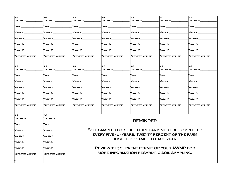| 15                     | 16                            | 17                     | 18                             | 19                                                 | 20                     | 21                     |
|------------------------|-------------------------------|------------------------|--------------------------------|----------------------------------------------------|------------------------|------------------------|
| LOCATION               | <b>LOCATION</b>               | <b>_OCATION</b>        | <b>LOCATION</b>                | LOCATION                                           | <b>_OCATION</b>        | <b>LOCATION</b>        |
| $T$ YPE $\_\_$         | $\mathsf{T}\mathsf{YPE} \_\_$ | TYPE_                  | $\mathsf{T} \mathsf{YPE}$ $\_$ |                                                    | $\sf{Type\_}$          | $\sf{Type\_}$          |
| METHOD                 | <b>METHOD</b>                 | Method_                | Method_                        | METHOD                                             | <b>METHOD</b>          | <b>METHOD</b>          |
| <b>VOLUME</b>          | VOLUME                        | Volume                 | VOLUME                         | VOLUME                                             | VOLUME                 | VOLUME                 |
| TOTAL N                | Total N                       | Total _                | TOTAL N                        | Total N                                            | Total N                | Total N_               |
| TOTAL P_____           | TOTAL P                       | TOTAL P__              | $T$ OTAL $P$                   | TOTAL P_                                           | TOTAL P__              | TOTAL P_               |
| <b>EXPORTED VOLUME</b> | EXPORTED VOLUME               | <b>EXPORTED VOLUME</b> | <b>EXPORTED VOLUME</b>         | <b>EXPORTED VOLUME</b>                             | <b>EXPORTED VOLUME</b> | <b>EXPORTED VOLUME</b> |
| $\overline{22}$        | 23                            | 24                     | 25                             | 26                                                 | $\overline{27}$        | 28                     |
| LOCATION               | LOCATION_                     | LOCATION               | _OCATION_                      | LOCATION_                                          | LOCATION               | LOCATION_              |
| $\Box$                 | $\sf{TVPE}$ $\_$              | TYPE.                  | TYPE _                         | TYPE                                               | $\sf{Type\_}$          | TYPE _                 |
| METHOD_                | METHOD_                       | Method_                | Method_                        | METHOD                                             | <b>METHOD</b>          | METHOD_                |
| VOLUME_                | VOLUME                        | VOLUME                 | Volume_                        | VOLUME                                             | VOLUME                 | <b>VOLUME</b>          |
| TOTAL N________        | Total N                       | TOTAL N                | $\overline{\text{Total N}}$    | Total N                                            | Total N                | Total N__              |
| TOTAL P_               | TOTAL P_                      | TOTAL P_               | $T$ OTAL P $\_$                | TOTAL P_                                           | TOTAL P_               | TOTAL P_               |
| <b>EXPORTED VOLUME</b> | EXPORTED VOLUME               | <b>EXPORTED VOLUME</b> | <b>EXPORTED VOLUME</b>         | <b>EXPORTED VOLUME</b>                             | <b>EXPORTED VOLUME</b> | <b>EXPORTED VOLUME</b> |
| 29                     | 30                            |                        |                                |                                                    |                        |                        |
| LOCATION               | LOCATION_                     |                        |                                |                                                    |                        |                        |
| $T$ YPE $\_\_$         | $\sf{Type\_}$                 |                        |                                | <b>REMINDER</b>                                    |                        |                        |
| <b>METHOD</b>          | <b>METHOD</b>                 |                        |                                | SOIL SAMPLES FOR THE ENTIRE FARM MUST BE COMPLETED |                        |                        |
| VOLUME                 | VOLUME                        |                        |                                | EVERY FIVE (5) YEARS. TWENTY PERCENT OF THE FARM   |                        |                        |
| TOTAL N                | TOTAL N                       |                        |                                | SHOULD BE SAMPLED EACH YEAR.                       |                        |                        |
| TOTAL P_____           | TOTAL P_                      |                        |                                | <b>REVIEW THE CURRENT PERMIT OR YOUR AWMP FOR</b>  |                        |                        |
| <b>EXPORTED VOLUME</b> | EXPORTED VOLUME               |                        |                                | MORE INFORMATION REGARDING SOIL SAMPLING.          |                        |                        |
|                        |                               |                        |                                |                                                    |                        |                        |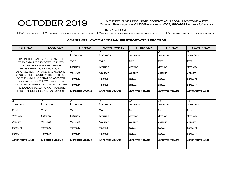## OCTOBER 2019

#### In the event of a discharge, contact your local Livestock Water Quality Specialist or CAFO Program at (503) 986-4699 within 24 hours.

INSPECTIONS<br>Q Waterlines Q Stormwater diversion devices Q Depth of liquid manure storage facility Q Manure application equipment

| <b>SUNDAY</b>                                                     | <b>MONDAY</b>                                                    | <b>TUESDAY</b>         | <b>WEDNESDAY</b>       | <b>THURSDAY</b>             | <b>FRIDAY</b>                | <b>SATURDAY</b>             |
|-------------------------------------------------------------------|------------------------------------------------------------------|------------------------|------------------------|-----------------------------|------------------------------|-----------------------------|
|                                                                   |                                                                  | LOCATION               | LOCATION               | R<br>LOCATION               | $\boldsymbol{A}$<br>LOCATION | l5<br>LOCATION              |
|                                                                   | TIP: IN THE CAFO PROGRAM, THE<br>TERM "MANURE EXPORT" IS USED    | TYPE ________          | <b>TYPE</b>            | TYPE _______                | <b>TYPE</b>                  | <b>TYPE</b>                 |
|                                                                   | TO DESCRIBE MANURE THAT IS<br>TRANSFERRED OR EXPORTED TO         | <b>METHOD</b>          | <b>METHOD</b>          | <b>METHOD</b>               | <b>METHOD</b>                | <b>METHOD</b>               |
|                                                                   | ANOTHER ENTITY, AND THE MANURE<br>IS NO LONGER UNDER THE CONTROL | <b>VOLUME</b>          | <b>VOLUME</b>          | VOLUME                      | <b>VOLUME</b>                | VOLUME                      |
| OF THE CAFO OPERATOR AND/OR<br>OWNER. IF THE CAFO OPERATOR        |                                                                  | Total N                | Total N                | Total N                     | TOTAL N                      | Total N                     |
| AND/OR OWNER HAS CONTROL OVER                                     |                                                                  | TOTAL P                | TOTAL P                | TOTAL P                     | TOTAL P                      | TOTAL P                     |
| THE LAND APPLICATION OF MANURE<br>IT IS NOT CONSIDERED AN EXPORT. |                                                                  | <b>EXPORTED VOLUME</b> | <b>EXPORTED VOLUME</b> | <b>EXPORTED VOLUME</b>      | <b>EXPORTED VOLUME</b>       | <b>EXPORTED VOLUME</b>      |
|                                                                   |                                                                  |                        |                        |                             |                              |                             |
| lб<br>LOCATION                                                    | LOCATION                                                         | R.<br>LOCATION         | 9<br>LOCATION          | $\overline{10}$<br>LOCATION | 11<br>LOCATION               | $\overline{12}$<br>LOCATION |
|                                                                   |                                                                  |                        |                        |                             |                              |                             |
| <b>TYPE</b>                                                       | <b>TYPE</b>                                                      | <b>TYPE</b>            | <b>TYPE</b>            | <b>TYPE</b>                 | <b>TYPE</b>                  | <b>TYPE</b>                 |
| <b>METHOD</b>                                                     | METHOD                                                           | METHOD                 | METHOD                 | METHOD                      | METHOD                       | <b>METHOD</b>               |
| <b>VOLUME</b>                                                     | VOLUME                                                           | <b>N</b> OLUME         | <b>VOLUME</b>          | VOLUME                      | VOLUME                       | <b>N</b> OLUME              |
| Total N                                                           | Total N                                                          | <b>TOTAL N</b>         | TOTAL N                | TOTAL N                     | <b>TOTAL N</b>               | TOTAL N                     |
| TOTAL P                                                           | TOTAL P                                                          | <b>TOTAL P</b>         | TOTAL P________        | TOTAL P                     | TOTAL P                      | TOTAL P                     |
| <b>EXPORTED VOLUME</b>                                            | <b>EXPORTED VOLUME</b>                                           | <b>EXPORTED VOLUME</b> | <b>EXPORTED VOLUME</b> | <b>EXPORTED VOLUME</b>      | <b>EXPORTED VOLUME</b>       | <b>EXPORTED VOLUME</b>      |
|                                                                   |                                                                  |                        |                        |                             |                              |                             |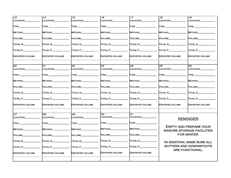| $\overline{13}$                | 14                     | 15                               | 16                     | 17                            | 18                          | $\overline{19}$                  |
|--------------------------------|------------------------|----------------------------------|------------------------|-------------------------------|-----------------------------|----------------------------------|
| LOCATION                       | <b>_OCATION</b>        | LOCATION                         | LOCATION               | <b>LOCATION</b>               | LOCATION                    | LOCATION                         |
|                                |                        |                                  |                        |                               |                             |                                  |
| $\mathsf{T}\mathsf{YPE}$ ____  | TYPE_                  | TYPE_                            | TYPE_                  | $\mathsf{T}\mathsf{YPE} \_\_$ | TYPE_                       | TYPE_                            |
| <b>METHOD</b>                  | <b>METHOD</b>          | <b>METHOD</b>                    | <b>METHOD</b>          | <b>METHOD</b>                 | <b>METHOD</b>               | <b>METHOD</b>                    |
|                                |                        |                                  |                        |                               |                             |                                  |
| <b>VOLUME</b>                  | <b>VOLUME</b>          | <b>VOLUME</b>                    | <b>VOLUME</b>          | VOLUME                        | <b>VOLUME</b>               | <b>VOLUME</b>                    |
|                                |                        |                                  |                        |                               |                             |                                  |
| Total N                        | Total N                | Total N                          | TOTAL N                | Total N                       | ITOTAL N                    | <b>TOTAL N</b>                   |
| Total P_                       | Total P                | TOTAL P                          | TOTAL P                | TOTAL P                       | TOTAL P                     | TOTAL P                          |
|                                |                        |                                  |                        |                               |                             |                                  |
| <b>EXPORTED VOLUME</b>         | <b>EXPORTED VOLUME</b> | <b>EXPORTED VOLUME</b>           | <b>EXPORTED VOLUME</b> | <b>EXPORTED VOLUME</b>        | <b>EXPORTED VOLUME</b>      | <b>EXPORTED VOLUME</b>           |
|                                |                        |                                  |                        |                               |                             |                                  |
|                                |                        |                                  |                        |                               |                             |                                  |
| $\overline{20}$                | 21                     | 22                               | 23                     | $\overline{24}$               | $\overline{25}$             | $\overline{26}$                  |
| LOCATION                       | LOCATION               | LOCATION                         | LOCATION               | LOCATION                      | LOCATION                    | LOCATION                         |
| $\textsf{T} \textsf{YPE} \_\_$ | TYPE.                  | $\mathsf{T} \mathsf{YPE} \_$     | TYPE_                  | TYPE.                         | $\mathsf{T}\mathsf{YPE} \_$ | TYPE                             |
|                                |                        |                                  |                        |                               |                             |                                  |
| METHOD_                        | Method                 | <b>METHOD</b>                    | <b>METHOD</b>          | Method                        | <b>METHOD</b>               | <b>METHOD</b>                    |
|                                |                        |                                  |                        |                               |                             |                                  |
| VOLUME_                        | VOLUME                 | <b>VOLUME</b>                    | <b>VOLUME</b>          | Volume                        | VOLUME                      | <b>VOLUME</b>                    |
| ITOTAL N                       | ITOTAL N               | Total N                          | Total N                | Total N                       | Total N                     | Total N                          |
|                                |                        |                                  |                        |                               |                             |                                  |
| TOTAL P_                       | <b>TOTAL P_</b>        | <b>TOTAL P_</b>                  | TOTAL P                | <b>TOTAL P</b>                | TOTAL P                     | <b>TOTAL P_</b>                  |
|                                |                        |                                  |                        |                               |                             |                                  |
| <b>EXPORTED VOLUME</b>         | <b>EXPORTED VOLUME</b> | <b>EXPORTED VOLUME</b>           | <b>EXPORTED VOLUME</b> | <b>EXPORTED VOLUME</b>        | <b>EXPORTED VOLUME</b>      | <b>EXPORTED VOLUME</b>           |
|                                |                        |                                  |                        |                               |                             |                                  |
| $\overline{27}$                | 28                     | 29                               | 30                     | $\overline{\mathcal{S}1}$     |                             |                                  |
| LOCATION                       | LOCATION               | <b>LOCATION</b>                  | LOCATION               | LOCATION_                     |                             |                                  |
|                                |                        |                                  |                        |                               |                             | <b>REMINDER</b>                  |
| $\Gamma$ YPE $\equiv$          | TYPE_                  | $\mathsf{T} \mathsf{YPE}$ $\_\_$ | $\sf{Type\_}$          | $\mathsf{T} \mathsf{YPE} \_$  |                             |                                  |
| METHOD                         | <b>METHOD</b>          | <b>METHOD</b>                    | <b>METHOD</b>          | <b>METHOD</b>                 |                             | <b>EMPTY AND PREPARE YOUR</b>    |
|                                |                        |                                  |                        |                               |                             | <b>MANURE STORAGE FACILITIES</b> |
| VOLUME_                        | Volume_                | VOLUME                           | <b>VOLUME</b>          | <b>VOLUME</b>                 |                             | FOR WINTER.                      |
|                                |                        |                                  |                        |                               |                             |                                  |
| Total N_                       | Total N                | Total N                          | Total N                | TOTAL N                       |                             | IN ADDITION, MAKE SURE ALL       |
| TOTAL P                        | TOTAL P                | TOTAL P                          | TOTAL P                | Total P_                      |                             | GUTTERS AND DOWNSPOUTS           |
|                                |                        |                                  |                        |                               |                             | ARE FUNCTIONAL.                  |
| <b>EXPORTED VOLUME</b>         | <b>EXPORTED VOLUME</b> | <b>EXPORTED VOLUME</b>           | <b>EXPORTED VOLUME</b> | <b>EXPORTED VOLUME</b>        |                             |                                  |
|                                |                        |                                  |                        |                               |                             |                                  |
|                                |                        |                                  |                        |                               |                             |                                  |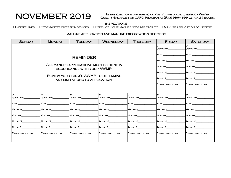NOVEMBER 2019 In the event of a discharge, contact your local Livestock Water Quality Specialist or CAFO Program at (503) 986-4699 within 24 hours.

#### INSPECTIONS

q Waterlines q Stormwater diversion devices q Depth of liquid manure storage facility q Manure application equipment

| <b>SUNDAY</b>          | <b>MONDAY</b>                                                         | <b>TUESDAY</b>                                                                 | <b>WEDNESDAY</b>       | <b>THURSDAY</b>        | <b>FRIDAY</b>          | <b>SATURDAY</b>        |
|------------------------|-----------------------------------------------------------------------|--------------------------------------------------------------------------------|------------------------|------------------------|------------------------|------------------------|
|                        |                                                                       | LOCATION                                                                       | 2<br>LOCATION          |                        |                        |                        |
|                        |                                                                       |                                                                                |                        |                        |                        |                        |
|                        |                                                                       | METHOD                                                                         | METHOD                 |                        |                        |                        |
|                        | ALL MANURE APPLICATIONS MUST BE DONE IN<br>ACCORDANCE WITH YOUR AWMP. | VOLUME                                                                         | VOLUME                 |                        |                        |                        |
|                        |                                                                       |                                                                                |                        |                        | Total N                | TOTAL N                |
|                        |                                                                       | <b>REVIEW YOUR FARM'S AWMP TO DETERMINE</b><br>ANY LIMITATIONS TO APPLICATION. |                        |                        | TOTAL P                | TOTAL P                |
|                        |                                                                       |                                                                                |                        |                        | <b>EXPORTED VOLUME</b> | <b>EXPORTED VOLUME</b> |
|                        |                                                                       |                                                                                |                        |                        |                        |                        |
| з<br>LOCATION          | 4<br>LOCATION                                                         | 5<br>LOCATION                                                                  | l6<br>LOCATION         | <b>_OCATION</b>        | B.<br>LOCATION         | 9<br>LOCATION          |
| $T$ YPE $\_\_$         | TYPE _________                                                        | TYPE _____                                                                     | TYPE                   | $\textsf{T}$ YPE $\_$  | <b>TYPE</b>            | TYPE___                |
| METHOD                 | METHOD                                                                | <b>METHOD</b>                                                                  | METHOD                 | <b>METHOD</b>          | METHOD                 | <b>METHOD</b>          |
| VOLUME                 | VOLUME                                                                | <b>NOLUME</b>                                                                  | VOLUME                 | <b>VOLUME</b>          | VOLUME                 | VOLUME                 |
| TOTAL N                | Total N                                                               | TOTAL N                                                                        | Total N                | TOTAL N                | Total N                | Total N                |
| <b>TOTAL P</b>         | TOTAL P                                                               | TOTAL P_                                                                       | TOTAL P                | TOTAL P_               | TOTAL P                | TOTAL P                |
| <b>EXPORTED VOLUME</b> | <b>EXPORTED VOLUME</b>                                                | <b>EXPORTED VOLUME</b>                                                         | <b>EXPORTED VOLUME</b> | <b>EXPORTED VOLUME</b> | <b>EXPORTED VOLUME</b> | <b>EXPORTED VOLUME</b> |
|                        |                                                                       |                                                                                |                        |                        |                        |                        |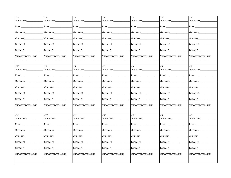| 10                                    | 11                            | 12 <sup>2</sup>                | 13                     | 14                               | 15                            | 16                            |
|---------------------------------------|-------------------------------|--------------------------------|------------------------|----------------------------------|-------------------------------|-------------------------------|
| LOCATION                              | LOCATION_                     | <b>LOCATION</b>                | LOCATION_              | LOCATION_                        | <b>LOCATION</b>               | LOCATION                      |
| TYPE_                                 | $\mathsf{T}\mathsf{YPE} \_\_$ |                                | TYPE___                | TYPE <b>The Second Structure</b> | $T$ YPE $\_\_$                | $\mathsf{T} \mathsf{YPE}$     |
|                                       |                               |                                |                        |                                  |                               |                               |
| METHOD                                | <b>METHOD</b>                 | <b>METHOD</b>                  | <b>METHOD</b>          | <b>METHOD</b>                    | <b>METHOD</b>                 | <b>METHOD</b>                 |
| VOLUME                                | VOLUME                        | VOLUME                         | VOLUME                 | VOLUME                           | VOLUME                        | VOLUME                        |
| <b>TOTAL N_</b>                       | Total N                       | TOTAL N_                       | TOTAL N                | Total N                          | Total N_                      | Total N_                      |
| $\overline{\text{Total P}}_{\text{}}$ | Total P_                      | TOTAL P__                      | TOTAL P_____           | Total P $\_$                     | $\overline{\text{Total P}}\_$ | TOTAL P_                      |
| <b>EXPORTED VOLUME</b>                | <b>EXPORTED VOLUME</b>        | <b>EXPORTED VOLUME</b>         | <b>EXPORTED VOLUME</b> | EXPORTED VOLUME                  | <b>EXPORTED VOLUME</b>        | <b>EXPORTED VOLUME</b>        |
| 17                                    | 18                            | 19                             | $\overline{20}$        | 21                               | 22                            | $\overline{23}$               |
| LOCATION                              | _OCATION                      | <b>LOCATION</b>                | LOCATION_              | LOCATION                         | <b>LOCATION</b>               | <b>LOCATION</b>               |
| $\mathsf{T}\mathsf{YPE} \_\_$         | TYPE.                         | $\mathsf{T} \mathsf{YPE} \_\_$ | $\sf{Type\_}$          | $\sf{Type\_}$                    | $\sf{Type\_}$                 | $\mathsf{T}\mathsf{YPE}$ $\_$ |
| METHOD                                | METHOD_                       | <b>METHOD</b>                  | <b>METHOD</b>          | <b>METHOD</b>                    | METHOD                        | METHOD                        |
| VOLUME                                | VOLUME                        | <b>VOLUME</b>                  | VOLUME                 | VOLUME                           | <b>VOLUME</b>                 | <b>VOLUME</b>                 |
| TOTAL N                               | Total N                       | Total N                        | Total N                | Total N                          | <b>TOTAL N</b>                | Total N_                      |
| Total P_                              | Total P_                      | TOTAL P_                       | TOTAL P_               | $\overline{\text{Total P}}_{-}$  | TOTAL P                       | TOTAL P_                      |
| <b>EXPORTED VOLUME</b>                | EXPORTED VOLUME               | <b>EXPORTED VOLUME</b>         | <b>EXPORTED VOLUME</b> | <b>EXPORTED VOLUME</b>           | <b>EXPORTED VOLUME</b>        | <b>EXPORTED VOLUME</b>        |
| 24                                    |                               | 26                             | 27                     | 28                               | 29                            | 30                            |
| LOCATION                              | 25<br>LOCATION                | LOCATION_                      | LOCATION               | LOCATION_                        | LOCATION                      | LOCATION                      |
| TYPE_                                 | TYPE_                         | $\mathsf{T} \mathsf{YPE}$ ___  | TYPE __                | $\mathsf{T} \mathsf{YPE}$        | $T$ YPE $\_\_$                | $T$ YPE $\_\$                 |
| METHOD_                               | METHOD_                       | <b>METHOD</b>                  | <b>METHOD</b>          | Method_                          | <b>METHOD</b>                 | METHOD                        |
| VOLUME                                | VOLUME                        | Volume_                        | VOLUME                 | VOLUME                           | VOLUME                        | VOLUME                        |
| <b>TOTAL N_</b>                       | Total N_                      | Total N_                       | Total N_               | Total N $\_$                     | TOTAL N                       | TOTAL N                       |
| TOTAL P_                              | Total P_                      | TOTAL P_                       | TOTAL P_               | Total P_                         | TOTAL P_                      | TOTAL P_                      |
| <b>EXPORTED VOLUME</b>                | <b>EXPORTED VOLUME</b>        | <b>EXPORTED VOLUME</b>         | <b>EXPORTED VOLUME</b> | <b>EXPORTED VOLUME</b>           | <b>EXPORTED VOLUME</b>        | <b>EXPORTED VOLUME</b>        |
|                                       |                               |                                |                        |                                  |                               |                               |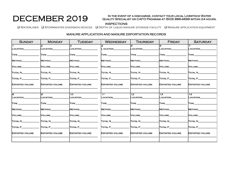## DECEMBER 2019 AUALITY SPECIALLS

#### IN THE EVENT OF A DISCHARGE, CONTACT YOUR LOCAL LIVESTOCK WATER Quality Specialist or CAFO Program at (503) 986-4699 within 24 hours.

q Waterlines q Stormwater diversion devices q Depth of liquid manure storage facility q Manure application equipment

| <b>SUNDAY</b>                               | <b>MONDAY</b>            | <b>TUESDAY</b>                            | <b>WEDNESDAY</b>                               | <b>THURSDAY</b>              | <b>FRIDAY</b>            | <b>SATURDAY</b>                             |
|---------------------------------------------|--------------------------|-------------------------------------------|------------------------------------------------|------------------------------|--------------------------|---------------------------------------------|
| $\mathbf{r}$<br>LOCATION                    | 2<br>LOCATION            | 3<br>LOCATION                             | OCATION                                        | 5<br>LOCATION                | 6<br>LOCATION            | LOCATION                                    |
|                                             |                          | $\mathsf{T} \mathsf{YPE} \_\_\_\_\_\_\_\$ | $\mathsf{T} \mathsf{YPE} \hspace{0.03in} \_\_$ |                              |                          | $\mathsf{T} \mathsf{YPE} \_\_\_\_\_\_\_\_\$ |
| METHOD                                      | METHOD                   | <b>METHOD</b>                             | <b>METHOD</b>                                  | <b>METHOD</b>                | METHOD                   | METHOD                                      |
| VOLUME_                                     | <b>VOLUME</b>            | VOLUME                                    | <b>VOLUME</b>                                  | VOLUME                       | <b>VOLUME</b>            | <b>VOLUME</b>                               |
| TOTAL N                                     | TOTAL N                  | TOTAL N                                   | TOTAL N                                        | $\Gamma$ otal N $\_\_$       | TOTAL N                  | <b>TOTAL N</b>                              |
| $\Gamma$ OTAL P $\Gamma$                    | TOTAL P                  | TOTAL P                                   | TOTAL P                                        | TOTAL P                      | TOTAL P                  | TOTAL P                                     |
| <b>EXPORTED VOLUME</b>                      | <b>EXPORTED VOLUME</b>   | <b>EXPORTED VOLUME</b>                    | <b>EXPORTED VOLUME</b>                         | <b>EXPORTED VOLUME</b>       | <b>EXPORTED VOLUME</b>   | <b>EXPORTED VOLUME</b>                      |
|                                             |                          |                                           |                                                |                              |                          |                                             |
| B<br>LOCATION                               | $\sigma$<br>LOCATION_    | $\overline{10}$<br>LOCATION__             | $\overline{11}$<br>LOCATION                    | $\overline{12}$<br>LOCATION_ | 13<br>LOCATION_____      | $\overline{14}$<br>LOCATION                 |
| $\mathsf{T} \mathsf{YPE} \_\_\_\_\_\_\_\_\$ | <b>TYPE</b>              | <b>TYPE</b>                               | $TYPE$ __                                      | <b>TYPE</b>                  | <b>TYPE</b>              | <b>TYPE</b>                                 |
| METHOD                                      | METHOD                   | METHOD_                                   | METHOD                                         | METHOD                       | METHOD                   | <b>METHOD</b>                               |
| <b>NOLUME</b>                               | <b>VOLUME</b>            | <b>VOLUME</b>                             | <b>NOLUME</b>                                  | Volume                       | <b>VOLUME</b>            | <b>VOLUME</b>                               |
| TOTAL N                                     | TOTAL N                  | <b>TOTAL N_________</b>                   | Total N                                        | Total N                      | TOTAL N                  | TOTAL N                                     |
| $\Gamma$ OTAL P $\Gamma$                    | $\Gamma$ OTAL P $\Gamma$ | $\Gamma$ OTAL P                           | $T$ OTAL $P$                                   | TOTAL P________              | $\Gamma$ OTAL P $\Gamma$ | $T$ OTAL P $\_\_\_\_\_\_\_\_\$              |
| <b>EXPORTED VOLUME</b>                      | <b>EXPORTED VOLUME</b>   | <b>EXPORTED VOLUME</b>                    | <b>EXPORTED VOLUME</b>                         | <b>EXPORTED VOLUME</b>       | <b>EXPORTED VOLUME</b>   | <b>EXPORTED VOLUME</b>                      |
|                                             |                          |                                           |                                                |                              |                          |                                             |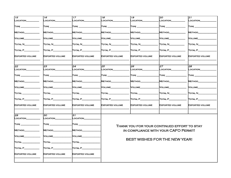| 15                                                                                 | 16                                            | 17                                    | 18                                                                                                             | 19                                                                                                             | 20                                          | 21                            |
|------------------------------------------------------------------------------------|-----------------------------------------------|---------------------------------------|----------------------------------------------------------------------------------------------------------------|----------------------------------------------------------------------------------------------------------------|---------------------------------------------|-------------------------------|
| LOCATION                                                                           | LOCATION                                      | LOCATION                              | <b>_OCATION</b>                                                                                                | <b>_OCATION</b>                                                                                                | LOCATION                                    | <b>LOCATION</b>               |
| $\Gamma$ YPE $\_\_$                                                                | $\mathsf{TYPE} \_\_\_\_\_\_\$                 | $\mathsf{T} \mathsf{YPE} \_\_\_\_\_\$ | $\mathsf{T} \mathsf{YPE} \_\_\_\_\_\$                                                                          | $\mathsf{T} \mathsf{YPE} \_\_\_\_\_\_\$                                                                        | $\mathsf{T} \mathsf{YPE} \_\_\_\_\_\$       | $\mathsf{T} \mathsf{YPE}$ ___ |
| METHOD_                                                                            | <b>METHOD</b>                                 | Method <sub>-</sub>                   | Method_                                                                                                        | Method_                                                                                                        | Method                                      | <b>METHOD</b>                 |
| VOLUME____________                                                                 | Volume                                        | VOLUME                                | Volume__                                                                                                       | Volume                                                                                                         | Volume                                      | VOLUME_                       |
| $\Gamma$ otal N $\Gamma$                                                           | Total N                                       | Total N_                              | Total N                                                                                                        | Total N                                                                                                        | Total N                                     | Total N                       |
| $\Gamma$ OTAL P $\Gamma$                                                           | $\Gamma$ otal P $\quad \qquad \blacksquare$   | TOTAL P______                         | $\overline{\text{Total P}}$                                                                                    | $\overline{\text{Total P}}$                                                                                    | $\Gamma$ OTAL P $\Gamma$                    | TOTAL P_                      |
| <b>EXPORTED VOLUME</b>                                                             | <b>EXPORTED VOLUME</b>                        | <b>EXPORTED VOLUME</b>                | <b>EXPORTED VOLUME</b>                                                                                         | <b>EXPORTED VOLUME</b>                                                                                         | <b>EXPORTED VOLUME</b>                      | <b>EXPORTED VOLUME</b>        |
| 22                                                                                 | 23                                            | 24                                    | 25                                                                                                             | 26                                                                                                             | 27                                          | 28                            |
| LOCATION                                                                           | LOCATION                                      | LOCATION_                             | LOCATION_                                                                                                      | LOCATION_                                                                                                      | LOCATION_______                             | LOCATION_                     |
| $\mathsf{T} \mathsf{YPE} \_\_\_\_\_\_\_\_\_\_\_\_\_\_\_\_\_\_\_\_\_\_\_\_\_\_\_\_$ | $\mathsf{T} \mathsf{YPE} \_\_\_\_\_\_\_\_\_\$ | $T$ YPE $\_$                          | $T$ YPE $\_$                                                                                                   | $\mathsf{T} \mathsf{YPE} \_\_\_\_\_\_\_\_\_\$                                                                  | $\mathsf{T}\mathsf{YPE} \_\_$               | $\mathsf{T}\mathsf{YPE} \_\_$ |
| METHOD______________                                                               | <b>METHOD</b>                                 | <b>METHOD</b>                         | <b>METHOD</b>                                                                                                  | Method____                                                                                                     | METHOD                                      | METHOD_                       |
| VOLUME                                                                             | VOLUME                                        | VOLUME                                | VOLUME                                                                                                         | VOLUME                                                                                                         | VOLUME                                      | <b>VOLUME</b>                 |
| [Total _____________                                                               | Total _________                               | $T$ otal $\qquad$                     | Total the total three states in the total states of the total states in the total states of the total states i | Total to the top of the top of the top of the top of the top of the top of the top of the top of the top of th | TOTAL N                                     | TOTAL N                       |
| $\Gamma$ OTAL P $\_\_\_\_\_\_\_\_\_\_\_\_\_$                                       | Total P_                                      | TOTAL P_                              | TOTAL P_                                                                                                       | TOTAL P                                                                                                        | TOTAL P_                                    | TOTAL P_                      |
| <b>EXPORTED VOLUME</b>                                                             | <b>EXPORTED VOLUME</b>                        | <b>EXPORTED VOLUME</b>                | <b>EXPORTED VOLUME</b>                                                                                         | <b>EXPORTED VOLUME</b>                                                                                         | <b>EXPORTED VOLUME</b>                      | <b>EXPORTED VOLUME</b>        |
| 29                                                                                 | 30                                            | 31                                    |                                                                                                                |                                                                                                                |                                             |                               |
| LOCATION_                                                                          | LOCATION                                      | LOCATION_                             |                                                                                                                |                                                                                                                |                                             |                               |
|                                                                                    | $\mathsf{T}\mathsf{YPE}$                      | $\sf{Type\_}$                         |                                                                                                                |                                                                                                                | THANK YOU FOR YOUR CONTINUED EFFORT TO STAY |                               |
| METHOD_<br><b>Contract Contract</b>                                                | METHOD_                                       | Method_                               |                                                                                                                |                                                                                                                | IN COMPLIANCE WITH YOUR CAFO PERMIT!        |                               |
| <b>VOLUME</b>                                                                      | Volume__                                      | VOLUME                                |                                                                                                                |                                                                                                                |                                             |                               |
| [Total _____________                                                               | Total __                                      | $\Gamma$ otal $\Gamma$                |                                                                                                                |                                                                                                                | BEST WISHES FOR THE NEW YEAR!               |                               |
| $\Gamma$ OTAL P $\Gamma$                                                           | $\Gamma$ otal P $\_\_$                        | $T$ OTAL P $\_\_\_\_\_\$              |                                                                                                                |                                                                                                                |                                             |                               |
| <b>EXPORTED VOLUME</b>                                                             | <b>EXPORTED VOLUME</b>                        | <b>EXPORTED VOLUME</b>                |                                                                                                                |                                                                                                                |                                             |                               |
|                                                                                    |                                               |                                       |                                                                                                                |                                                                                                                |                                             |                               |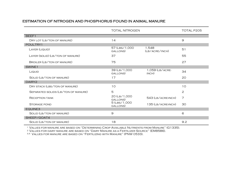## ESTIMATION OF NITROGEN AND PHOSPHORUS FOUND IN ANIMAL MANURE

|                                     | <b>TOTAL NITROGEN</b>     |                          | TOTAL P205    |
|-------------------------------------|---------------------------|--------------------------|---------------|
| BEEF1                               |                           |                          |               |
| DRY LOT (LB/TON OF MANURE)          | 14                        |                          | $\mathcal{Q}$ |
| POULTRY1                            |                           |                          |               |
| LAYER (LIQUID)                      | 57 (LBS/1,000<br>GALLONS) | 1,548<br>(LB/ACRE/INCH)  | 51            |
| LAYER (SOLID) (LB/TON OF MANURE)    | 37                        |                          | 55            |
| <b>BROILER (LB/TON OF MANURE)</b>   | 75                        |                          | 27            |
| SWINE1                              |                           |                          |               |
| LIQUID                              | 39 (LB/1,000<br>GALLONS)  | 1,059 (LB/ACRE-<br>INCH) | 34            |
| SOLID (LB/TON OF MANURE)            | 17                        |                          | 20            |
| DAIRY2                              |                           |                          |               |
| DRY STACK (LBS/TON OF MANURE)       | 10                        |                          | 10            |
| SEPARATED SOLIDS (LB/TON OF MANURE) | 5                         |                          | 2             |
| <b>RECEPTION TANK</b>               | 20 (LB/1,000<br>GALLONS)  | 543 (LB/ACRE-INCH)       | 7             |
| <b>STORAGE POND</b>                 | 5 (LBS/1,000<br>GALLONS)  | 135 (LB/ACRE-INCH)       | 30            |
| EQUINE3                             |                           |                          |               |
| SOLID (LB/TON OF MANURE)            | $\overline{9}$            |                          | 6             |
| SHEEP/GOAT4                         |                           |                          |               |
| SOLID (LB/TON OF MANURE)            | 18                        |                          | 9.2           |

1 Values for manure are based on "Determining Crop Available Nutrients from Manure" (G1335).

2 Values for dairy manure are based on "Dairy Manure as a Fertilizer Source" (EM8586).

3,4 Values for manure are based on "Fertilizing with Manure" (PNW 0533).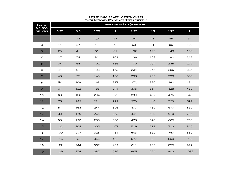| LBS OF<br>N/1000<br><b>GALLONS</b> | <b>I OTAL INTINOGLIA (I OONDO OF INTERACTURALITY</b><br><b>APPLICATION RATE (ACRE-INCH)</b> |     |      |              |      |     |      |              |  |
|------------------------------------|---------------------------------------------------------------------------------------------|-----|------|--------------|------|-----|------|--------------|--|
|                                    | 0.25                                                                                        | 0.5 | 0.75 | $\mathbf{1}$ | 1.25 | 1.5 | 1.75 | $\mathbf{2}$ |  |
| $\mathbf{1}$                       | $\overline{7}$                                                                              | 14  | 20   | 27           | 34   | 41  | 48   | 54           |  |
| $\mathbf{z}$                       | 14                                                                                          | 27  | 41   | 54           | 68   | 81  | 95   | 109          |  |
| $\mathbf{B}$                       | 20                                                                                          | 41  | 61   | 81           | 102  | 122 | 143  | 163          |  |
| 4                                  | 27                                                                                          | 54  | 81   | 109          | 136  | 163 | 190  | 217          |  |
| 5                                  | 34                                                                                          | 68  | 102  | 136          | 170  | 204 | 238  | 272          |  |
| $\mathbf 6$                        | 41                                                                                          | 81  | 122  | 163          | 204  | 244 | 285  | 326          |  |
| $\overline{7}$                     | 48                                                                                          | 95  | 143  | 190          | 238  | 285 | 333  | 380          |  |
| 8                                  | 54                                                                                          | 109 | 163  | 217          | 272  | 326 | 380  | 434          |  |
| $\mathbf{Q}$                       | 61                                                                                          | 122 | 183  | 244          | 305  | 367 | 428  | 489          |  |
| 10                                 | 68                                                                                          | 136 | 204  | 272          | 339  | 407 | 475  | 543          |  |
| 11                                 | 75                                                                                          | 149 | 224  | 299          | 373  | 448 | 523  | 597          |  |
| 12                                 | 81                                                                                          | 163 | 244  | 326          | 407  | 489 | 570  | 652          |  |
| 13                                 | 88                                                                                          | 176 | 265  | 353          | 441  | 529 | 618  | 706          |  |
| 14                                 | 95                                                                                          | 190 | 285  | 380          | 475  | 570 | 665  | 760          |  |
| 15                                 | 102                                                                                         | 204 | 305  | 407          | 509  | 611 | 713  | 815          |  |
| 16                                 | 109                                                                                         | 217 | 326  | 434          | 543  | 652 | 760  | 869          |  |
| 17                                 | 115                                                                                         | 231 | 346  | 462          | 577  | 692 | 808  | 923          |  |
| 18                                 | 122                                                                                         | 244 | 367  | 489          | 611  | 733 | 855  | 977          |  |
| 19                                 | 129                                                                                         | 258 | 387  | 516          | 645  | 774 | 903  | 1032         |  |

#### LIQUID MANURE APPLICATION CHART Total Nitrogen (Pounds of N per acre-inch)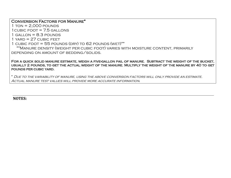Conversion Factors for Manure\*

 $1$  TON =  $2,000$  pounds  $1$  CUBIC FOOT =  $7.5$  GALLONS

 $1$  GALLON =  $8.3$  POUNDS

 $1$  YARD = 27 CUBIC FEET

1 CUBIC FOOT =  $55$  POUNDS (DRY) TO  $62$  POUNDS (WFT)\*\*

 \*\*Manure density (weight per cubic foot) varies with moisture content, primarily depending on amount of bedding/solids.

For a quick solid manure estimate, weigh a five-gallon pail of manure. Subtract the weight of the bucket, usually 2 pounds, to get the actual weight of the manure. Multiply the weight of the manure by 40 to get pounds per cubic yard.

\* Due to the variability of manure, using the above conversion factors will only provide an estimate. Actual manure test values will provide more accurate information*.*

**NOTES:**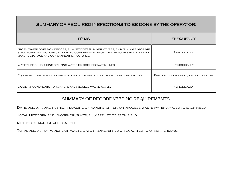| SUMMARY OF REQUIRED INSPECTIONS TO BE DONE BY THE OPERATOR:                                                                                                                                                      |                                       |  |  |  |  |  |
|------------------------------------------------------------------------------------------------------------------------------------------------------------------------------------------------------------------|---------------------------------------|--|--|--|--|--|
| <b>ITEMS</b>                                                                                                                                                                                                     | <b>FREQUENCY</b>                      |  |  |  |  |  |
| STORM WATER DIVERSION DEVICES, RUN-OFF DIVERSION STRUCTURES, ANIMAL WASTE STORAGE<br>STRUCTURES AND DEVICES CHANNELING CONTAMINATED STORM WATER TO WASTE WATER AND<br>MANURE STORAGE AND CONTAINMENT STRUCTURES. | PERIODICALLY                          |  |  |  |  |  |
| WATER LINES, INCLUDING DRINKING WATER OR COOLING WATER LINES.                                                                                                                                                    | PERIODICALLY                          |  |  |  |  |  |
| EQUIPMENT USED FOR LAND APPLICATION OF MANURE, LITTER OR PROCESS WASTE WATER.                                                                                                                                    | PERIODICALLY WHEN EQUIPMENT IS IN USE |  |  |  |  |  |
| LIQUID IMPOUNDMENTS FOR MANURE AND PROCESS WASTE WATER.                                                                                                                                                          | PERIODICALLY                          |  |  |  |  |  |

## SUMMARY OF RECORDKEEPING REQUIREMENTS:

Date, amount, and nutrient loading of manure, litter, or process waste water applied to each field.

Total Nitrogen and Phosphorus actually applied to each field.

Method of manure application.

Total amount of manure or waste water transferred or exported to other persons.